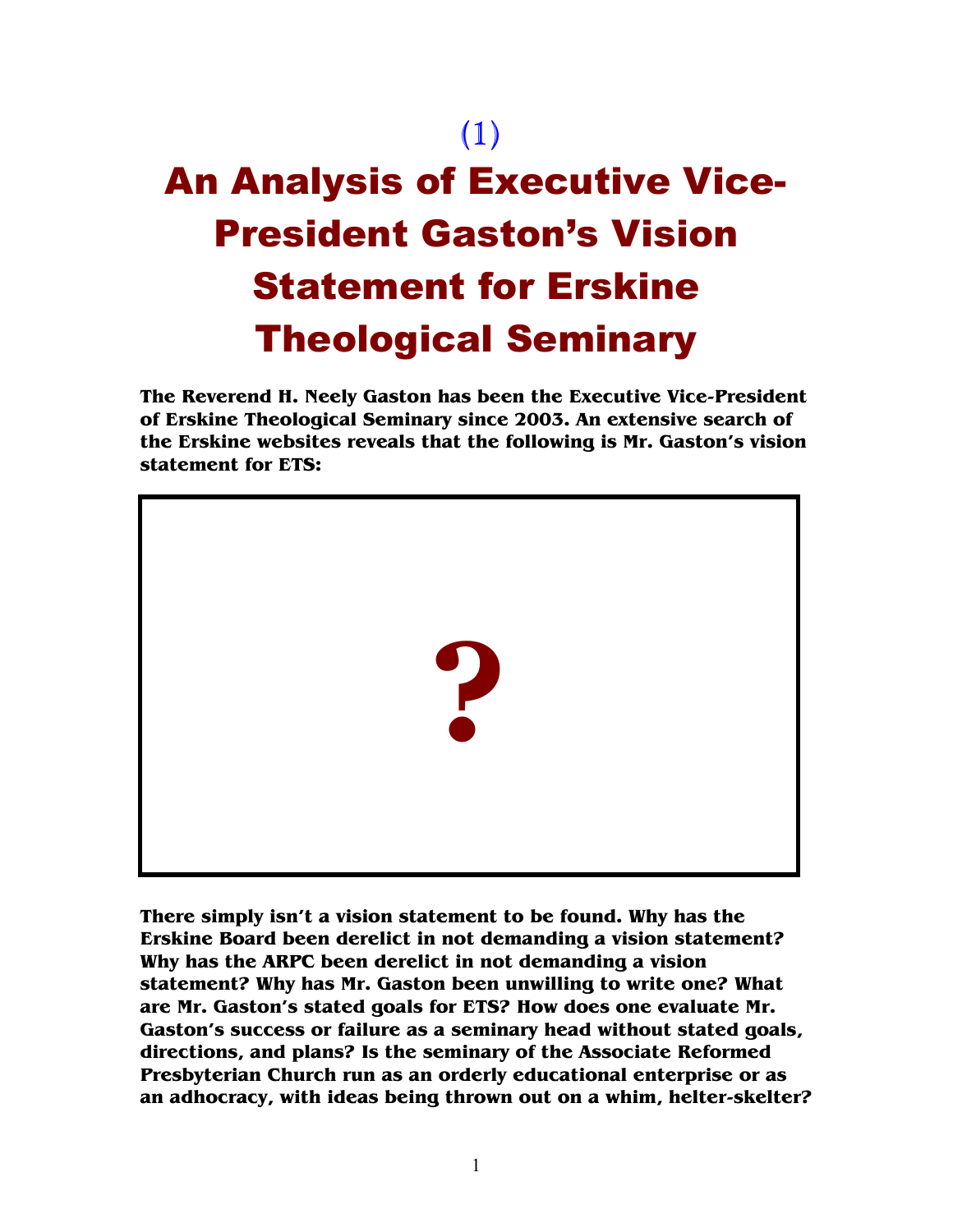# (1) An Analysis of Executive Vice-President Gaston's Vision Statement for Erskine Theological Seminary

**The Reverend H. Neely Gaston has been the Executive Vice-President of Erskine Theological Seminary since 2003. An extensive search of the Erskine websites reveals that the following is Mr. Gaston's vision statement for ETS:** 



**There simply isn't a vision statement to be found. Why has the Erskine Board been derelict in not demanding a vision statement? Why has the ARPC been derelict in not demanding a vision statement? Why has Mr. Gaston been unwilling to write one? What are Mr. Gaston's stated goals for ETS? How does one evaluate Mr. Gaston's success or failure as a seminary head without stated goals, directions, and plans? Is the seminary of the Associate Reformed Presbyterian Church run as an orderly educational enterprise or as an adhocracy, with ideas being thrown out on a whim, helter-skelter?**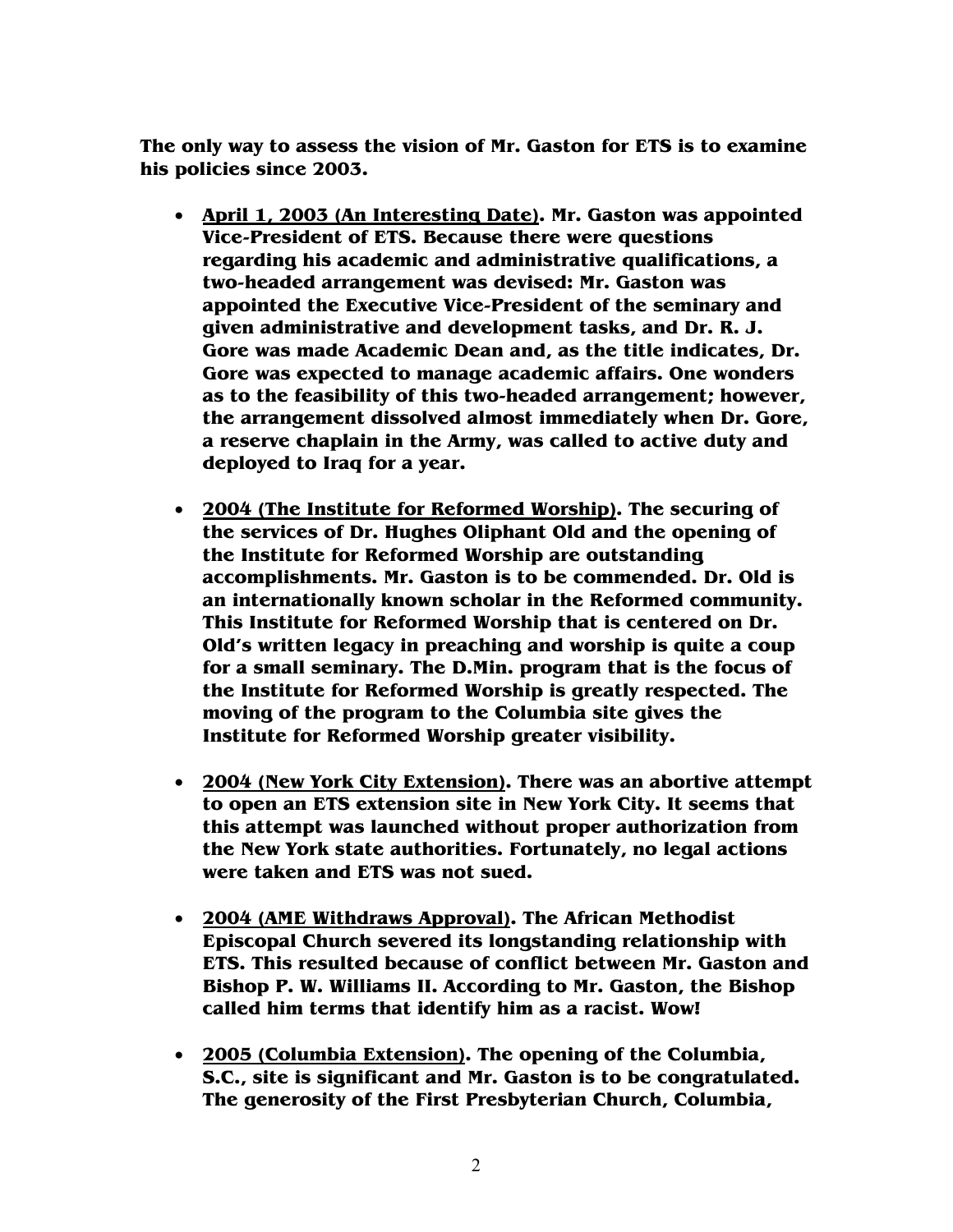**The only way to assess the vision of Mr. Gaston for ETS is to examine his policies since 2003.** 

- **April 1, 2003 (An Interesting Date). Mr. Gaston was appointed Vice-President of ETS. Because there were questions regarding his academic and administrative qualifications, a two-headed arrangement was devised: Mr. Gaston was appointed the Executive Vice-President of the seminary and given administrative and development tasks, and Dr. R. J. Gore was made Academic Dean and, as the title indicates, Dr. Gore was expected to manage academic affairs. One wonders as to the feasibility of this two-headed arrangement; however, the arrangement dissolved almost immediately when Dr. Gore, a reserve chaplain in the Army, was called to active duty and deployed to Iraq for a year.**
- **2004 (The Institute for Reformed Worship). The securing of the services of Dr. Hughes Oliphant Old and the opening of the Institute for Reformed Worship are outstanding accomplishments. Mr. Gaston is to be commended. Dr. Old is an internationally known scholar in the Reformed community. This Institute for Reformed Worship that is centered on Dr. Old's written legacy in preaching and worship is quite a coup for a small seminary. The D.Min. program that is the focus of the Institute for Reformed Worship is greatly respected. The moving of the program to the Columbia site gives the Institute for Reformed Worship greater visibility.**
- **2004 (New York City Extension). There was an abortive attempt to open an ETS extension site in New York City. It seems that this attempt was launched without proper authorization from the New York state authorities. Fortunately, no legal actions were taken and ETS was not sued.**
- **2004 (AME Withdraws Approval). The African Methodist Episcopal Church severed its longstanding relationship with ETS. This resulted because of conflict between Mr. Gaston and Bishop P. W. Williams II. According to Mr. Gaston, the Bishop called him terms that identify him as a racist. Wow!**
- **2005 (Columbia Extension). The opening of the Columbia, S.C., site is significant and Mr. Gaston is to be congratulated. The generosity of the First Presbyterian Church, Columbia,**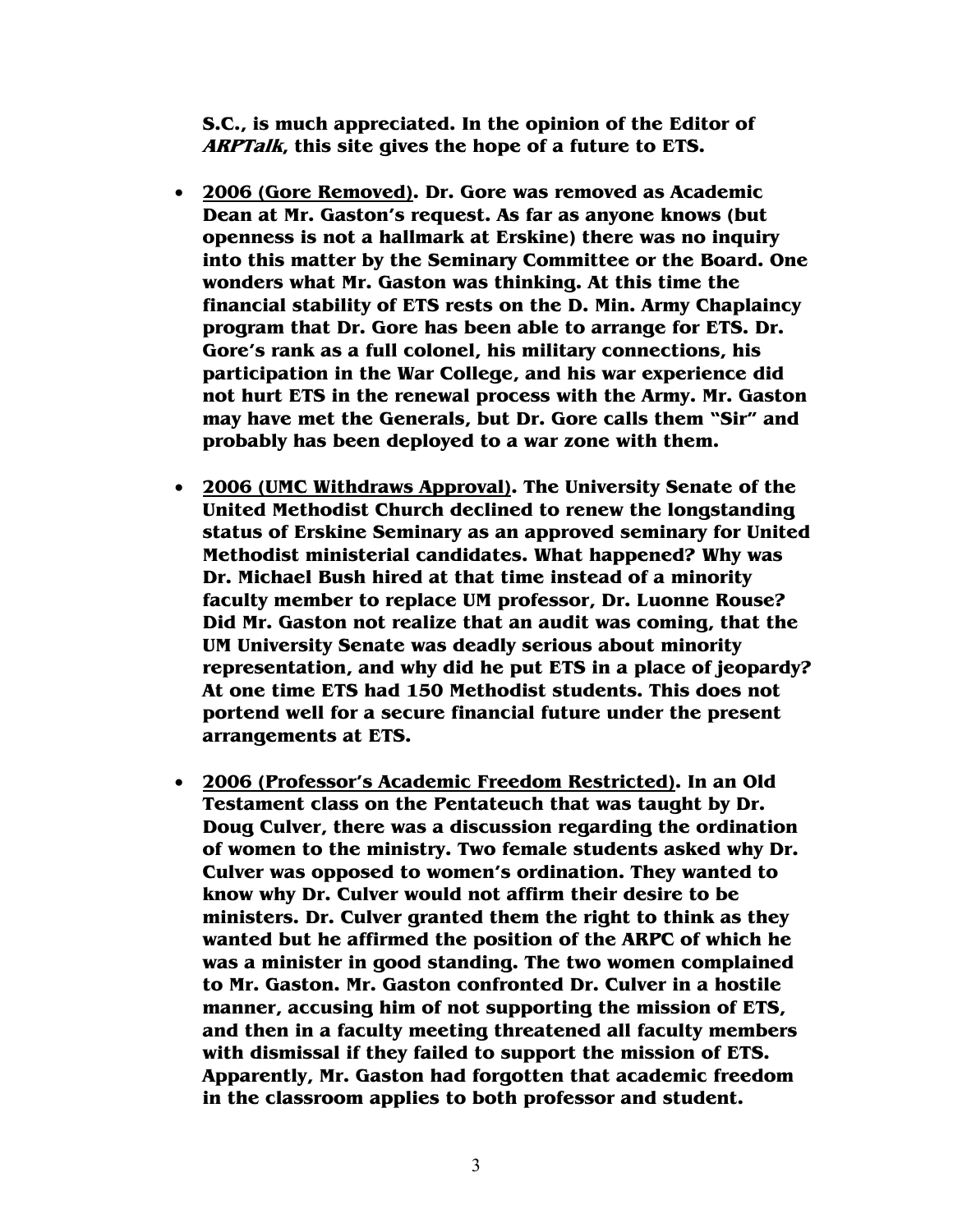**S.C., is much appreciated. In the opinion of the Editor of ARPTalk, this site gives the hope of a future to ETS.** 

- **2006 (Gore Removed). Dr. Gore was removed as Academic Dean at Mr. Gaston's request. As far as anyone knows (but openness is not a hallmark at Erskine) there was no inquiry into this matter by the Seminary Committee or the Board. One wonders what Mr. Gaston was thinking. At this time the financial stability of ETS rests on the D. Min. Army Chaplaincy program that Dr. Gore has been able to arrange for ETS. Dr. Gore's rank as a full colonel, his military connections, his participation in the War College, and his war experience did not hurt ETS in the renewal process with the Army. Mr. Gaston may have met the Generals, but Dr. Gore calls them "Sir" and probably has been deployed to a war zone with them.**
- **2006 (UMC Withdraws Approval). The University Senate of the United Methodist Church declined to renew the longstanding status of Erskine Seminary as an approved seminary for United Methodist ministerial candidates. What happened? Why was Dr. Michael Bush hired at that time instead of a minority faculty member to replace UM professor, Dr. Luonne Rouse? Did Mr. Gaston not realize that an audit was coming, that the UM University Senate was deadly serious about minority representation, and why did he put ETS in a place of jeopardy? At one time ETS had 150 Methodist students. This does not portend well for a secure financial future under the present arrangements at ETS.**
- **2006 (Professor's Academic Freedom Restricted). In an Old Testament class on the Pentateuch that was taught by Dr. Doug Culver, there was a discussion regarding the ordination of women to the ministry. Two female students asked why Dr. Culver was opposed to women's ordination. They wanted to know why Dr. Culver would not affirm their desire to be ministers. Dr. Culver granted them the right to think as they wanted but he affirmed the position of the ARPC of which he was a minister in good standing. The two women complained to Mr. Gaston. Mr. Gaston confronted Dr. Culver in a hostile manner, accusing him of not supporting the mission of ETS, and then in a faculty meeting threatened all faculty members with dismissal if they failed to support the mission of ETS. Apparently, Mr. Gaston had forgotten that academic freedom in the classroom applies to both professor and student.**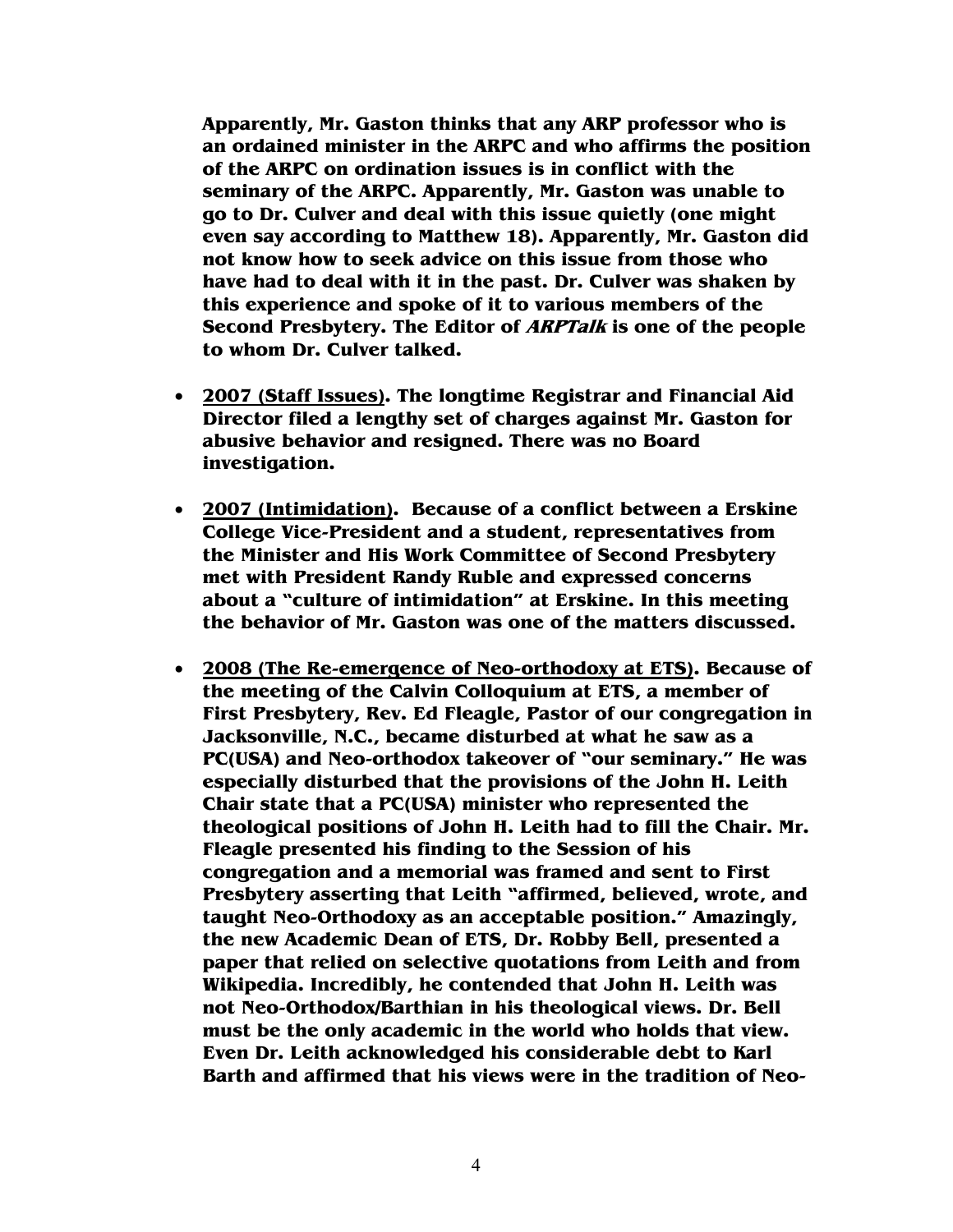**Apparently, Mr. Gaston thinks that any ARP professor who is an ordained minister in the ARPC and who affirms the position of the ARPC on ordination issues is in conflict with the seminary of the ARPC. Apparently, Mr. Gaston was unable to go to Dr. Culver and deal with this issue quietly (one might even say according to Matthew 18). Apparently, Mr. Gaston did not know how to seek advice on this issue from those who have had to deal with it in the past. Dr. Culver was shaken by this experience and spoke of it to various members of the Second Presbytery. The Editor of ARPTalk is one of the people to whom Dr. Culver talked.** 

- **2007 (Staff Issues). The longtime Registrar and Financial Aid Director filed a lengthy set of charges against Mr. Gaston for abusive behavior and resigned. There was no Board investigation.**
- **2007 (Intimidation). Because of a conflict between a Erskine College Vice-President and a student, representatives from the Minister and His Work Committee of Second Presbytery met with President Randy Ruble and expressed concerns about a "culture of intimidation" at Erskine. In this meeting the behavior of Mr. Gaston was one of the matters discussed.**
- **2008 (The Re-emergence of Neo-orthodoxy at ETS). Because of the meeting of the Calvin Colloquium at ETS, a member of First Presbytery, Rev. Ed Fleagle, Pastor of our congregation in Jacksonville, N.C., became disturbed at what he saw as a PC(USA) and Neo-orthodox takeover of "our seminary." He was especially disturbed that the provisions of the John H. Leith Chair state that a PC(USA) minister who represented the theological positions of John H. Leith had to fill the Chair. Mr. Fleagle presented his finding to the Session of his congregation and a memorial was framed and sent to First Presbytery asserting that Leith "affirmed, believed, wrote, and taught Neo-Orthodoxy as an acceptable position." Amazingly, the new Academic Dean of ETS, Dr. Robby Bell, presented a paper that relied on selective quotations from Leith and from Wikipedia. Incredibly, he contended that John H. Leith was not Neo-Orthodox/Barthian in his theological views. Dr. Bell must be the only academic in the world who holds that view. Even Dr. Leith acknowledged his considerable debt to Karl Barth and affirmed that his views were in the tradition of Neo-**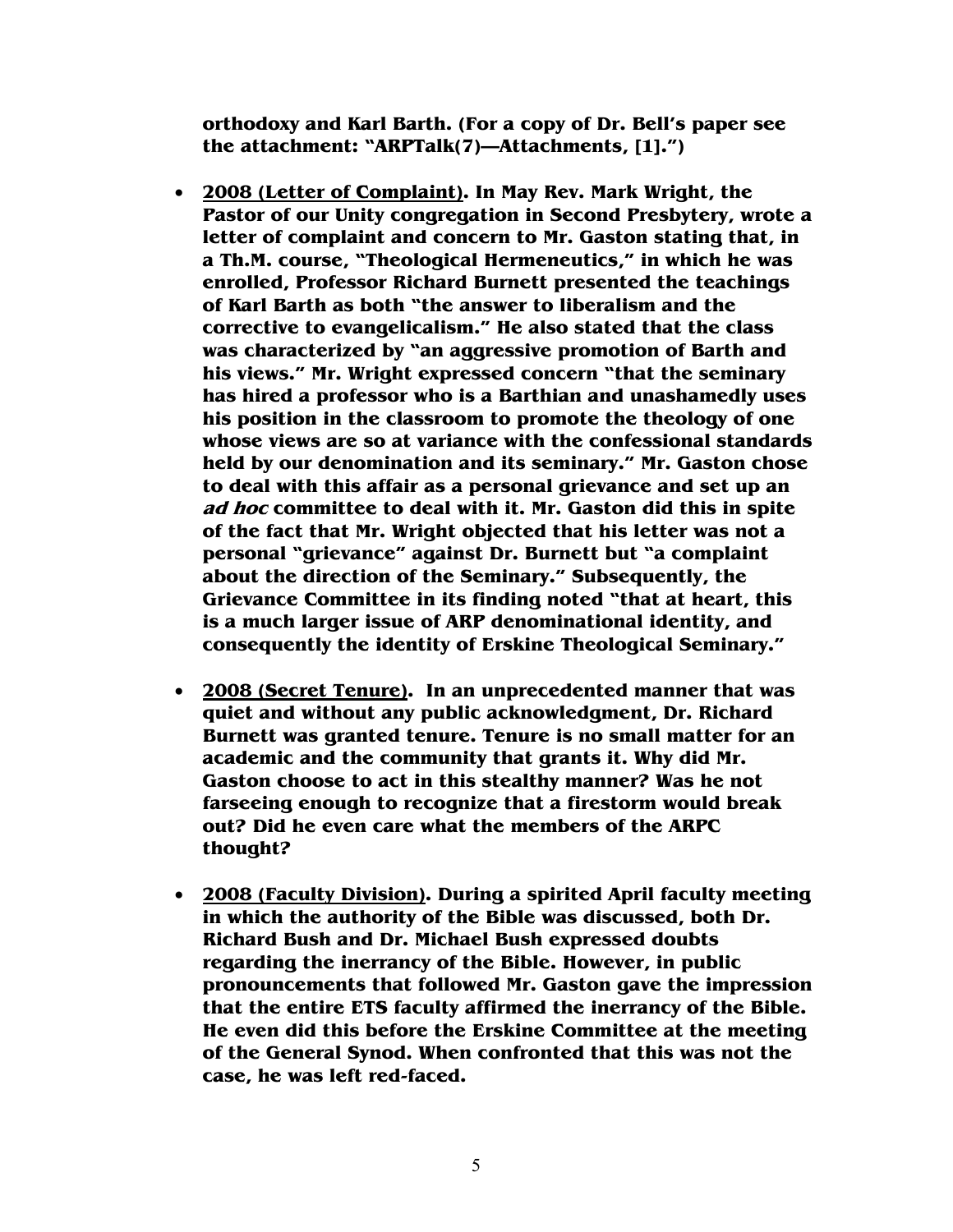**orthodoxy and Karl Barth. (For a copy of Dr. Bell's paper see the attachment: "ARPTalk(7)—Attachments, [1].")** 

- **2008 (Letter of Complaint). In May Rev. Mark Wright, the Pastor of our Unity congregation in Second Presbytery, wrote a letter of complaint and concern to Mr. Gaston stating that, in a Th.M. course, "Theological Hermeneutics," in which he was enrolled, Professor Richard Burnett presented the teachings of Karl Barth as both "the answer to liberalism and the corrective to evangelicalism." He also stated that the class was characterized by "an aggressive promotion of Barth and his views." Mr. Wright expressed concern "that the seminary has hired a professor who is a Barthian and unashamedly uses his position in the classroom to promote the theology of one whose views are so at variance with the confessional standards held by our denomination and its seminary." Mr. Gaston chose to deal with this affair as a personal grievance and set up an ad hoc committee to deal with it. Mr. Gaston did this in spite of the fact that Mr. Wright objected that his letter was not a personal "grievance" against Dr. Burnett but "a complaint about the direction of the Seminary." Subsequently, the Grievance Committee in its finding noted "that at heart, this is a much larger issue of ARP denominational identity, and consequently the identity of Erskine Theological Seminary."**
- **2008 (Secret Tenure). In an unprecedented manner that was quiet and without any public acknowledgment, Dr. Richard Burnett was granted tenure. Tenure is no small matter for an academic and the community that grants it. Why did Mr. Gaston choose to act in this stealthy manner? Was he not farseeing enough to recognize that a firestorm would break out? Did he even care what the members of the ARPC thought?**
- **2008 (Faculty Division). During a spirited April faculty meeting in which the authority of the Bible was discussed, both Dr. Richard Bush and Dr. Michael Bush expressed doubts regarding the inerrancy of the Bible. However, in public pronouncements that followed Mr. Gaston gave the impression that the entire ETS faculty affirmed the inerrancy of the Bible. He even did this before the Erskine Committee at the meeting of the General Synod. When confronted that this was not the case, he was left red-faced.**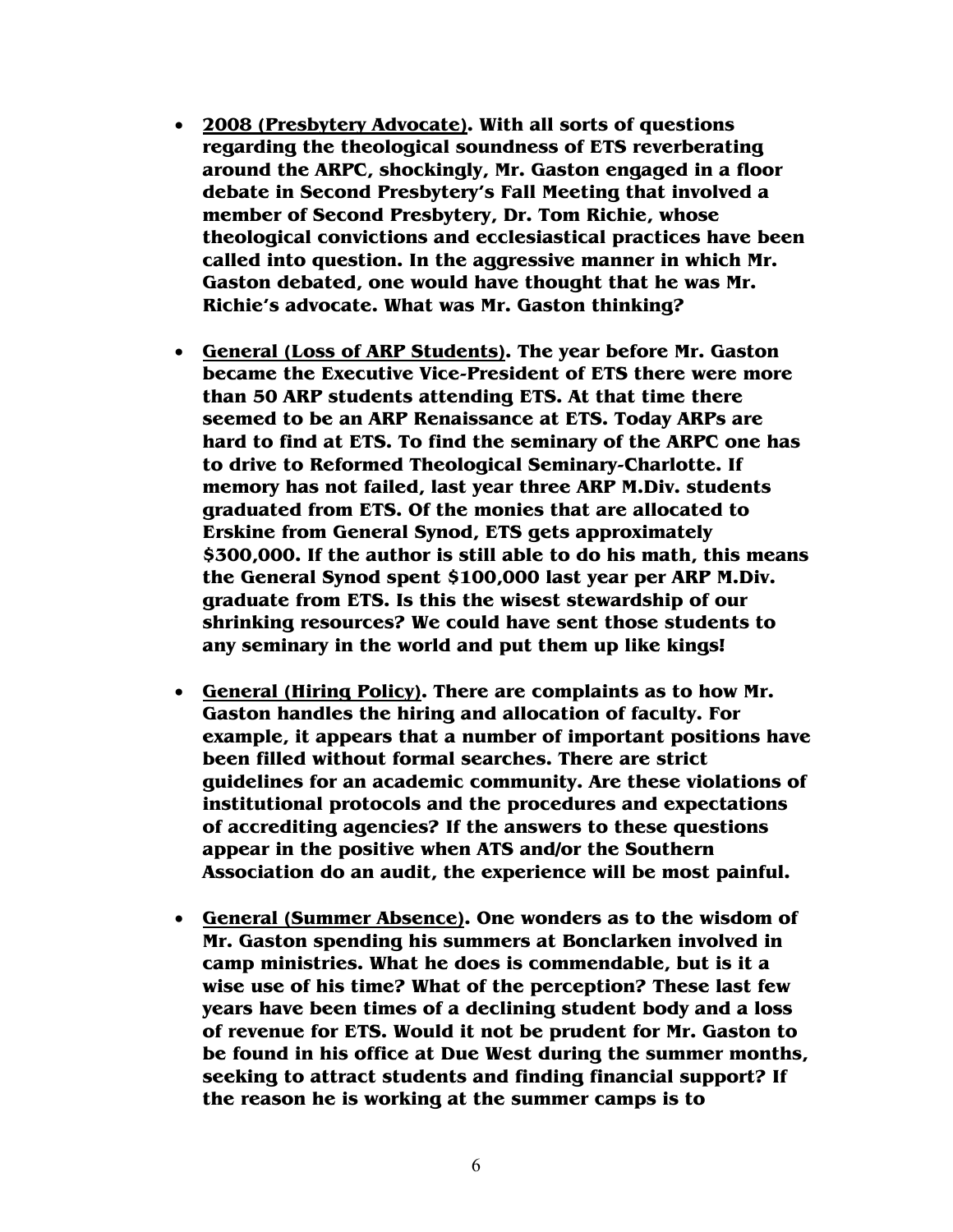- **2008 (Presbytery Advocate). With all sorts of questions regarding the theological soundness of ETS reverberating around the ARPC, shockingly, Mr. Gaston engaged in a floor debate in Second Presbytery's Fall Meeting that involved a member of Second Presbytery, Dr. Tom Richie, whose theological convictions and ecclesiastical practices have been called into question. In the aggressive manner in which Mr. Gaston debated, one would have thought that he was Mr. Richie's advocate. What was Mr. Gaston thinking?**
- **General (Loss of ARP Students). The year before Mr. Gaston became the Executive Vice-President of ETS there were more than 50 ARP students attending ETS. At that time there seemed to be an ARP Renaissance at ETS. Today ARPs are hard to find at ETS. To find the seminary of the ARPC one has to drive to Reformed Theological Seminary-Charlotte. If memory has not failed, last year three ARP M.Div. students graduated from ETS. Of the monies that are allocated to Erskine from General Synod, ETS gets approximately \$300,000. If the author is still able to do his math, this means the General Synod spent \$100,000 last year per ARP M.Div. graduate from ETS. Is this the wisest stewardship of our shrinking resources? We could have sent those students to any seminary in the world and put them up like kings!**
- **General (Hiring Policy). There are complaints as to how Mr. Gaston handles the hiring and allocation of faculty. For example, it appears that a number of important positions have been filled without formal searches. There are strict guidelines for an academic community. Are these violations of institutional protocols and the procedures and expectations of accrediting agencies? If the answers to these questions appear in the positive when ATS and/or the Southern Association do an audit, the experience will be most painful.**
- **General (Summer Absence). One wonders as to the wisdom of Mr. Gaston spending his summers at Bonclarken involved in camp ministries. What he does is commendable, but is it a wise use of his time? What of the perception? These last few years have been times of a declining student body and a loss of revenue for ETS. Would it not be prudent for Mr. Gaston to be found in his office at Due West during the summer months, seeking to attract students and finding financial support? If the reason he is working at the summer camps is to**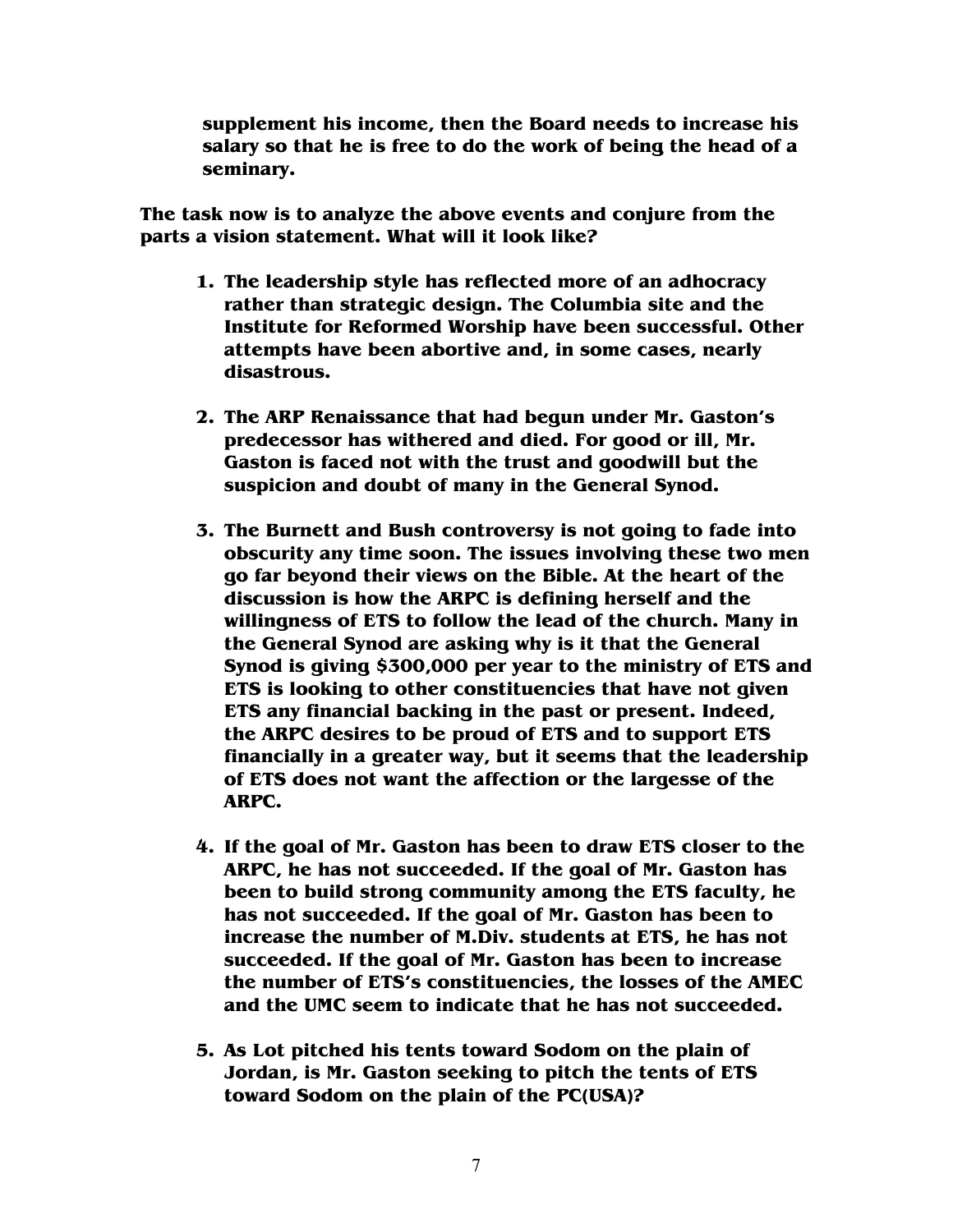**supplement his income, then the Board needs to increase his salary so that he is free to do the work of being the head of a seminary.** 

**The task now is to analyze the above events and conjure from the parts a vision statement. What will it look like?** 

- **1. The leadership style has reflected more of an adhocracy rather than strategic design. The Columbia site and the Institute for Reformed Worship have been successful. Other attempts have been abortive and, in some cases, nearly disastrous.**
- **2. The ARP Renaissance that had begun under Mr. Gaston's predecessor has withered and died. For good or ill, Mr. Gaston is faced not with the trust and goodwill but the suspicion and doubt of many in the General Synod.**
- **3. The Burnett and Bush controversy is not going to fade into obscurity any time soon. The issues involving these two men go far beyond their views on the Bible. At the heart of the discussion is how the ARPC is defining herself and the willingness of ETS to follow the lead of the church. Many in the General Synod are asking why is it that the General Synod is giving \$300,000 per year to the ministry of ETS and ETS is looking to other constituencies that have not given ETS any financial backing in the past or present. Indeed, the ARPC desires to be proud of ETS and to support ETS financially in a greater way, but it seems that the leadership of ETS does not want the affection or the largesse of the ARPC.**
- **4. If the goal of Mr. Gaston has been to draw ETS closer to the ARPC, he has not succeeded. If the goal of Mr. Gaston has been to build strong community among the ETS faculty, he has not succeeded. If the goal of Mr. Gaston has been to increase the number of M.Div. students at ETS, he has not succeeded. If the goal of Mr. Gaston has been to increase the number of ETS's constituencies, the losses of the AMEC and the UMC seem to indicate that he has not succeeded.**
- **5. As Lot pitched his tents toward Sodom on the plain of Jordan, is Mr. Gaston seeking to pitch the tents of ETS toward Sodom on the plain of the PC(USA)?**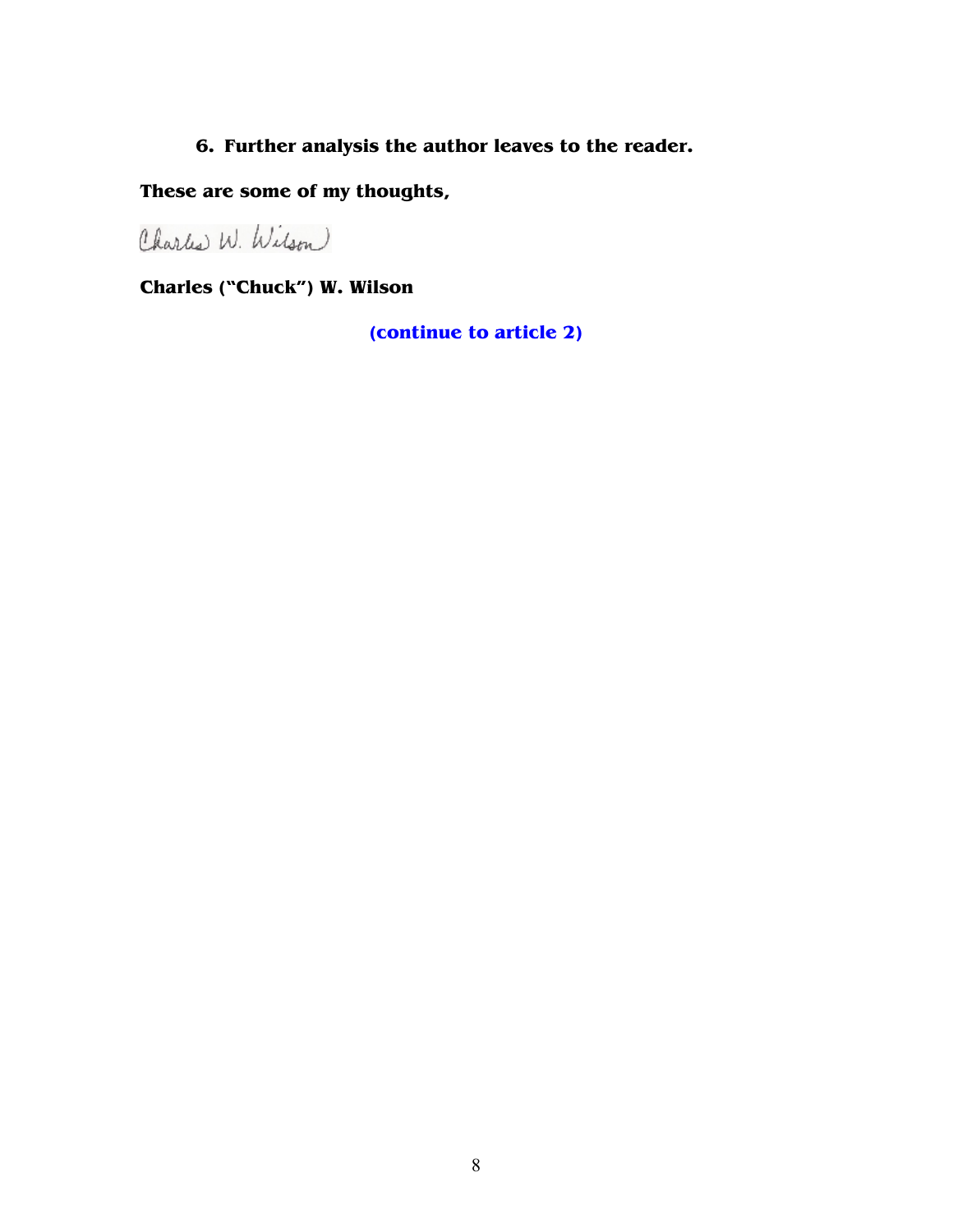#### **6. Further analysis the author leaves to the reader.**

### **These are some of my thoughts,**

Charles W. Wilson

**Charles ("Chuck") W. Wilson** 

**(continue to article 2)**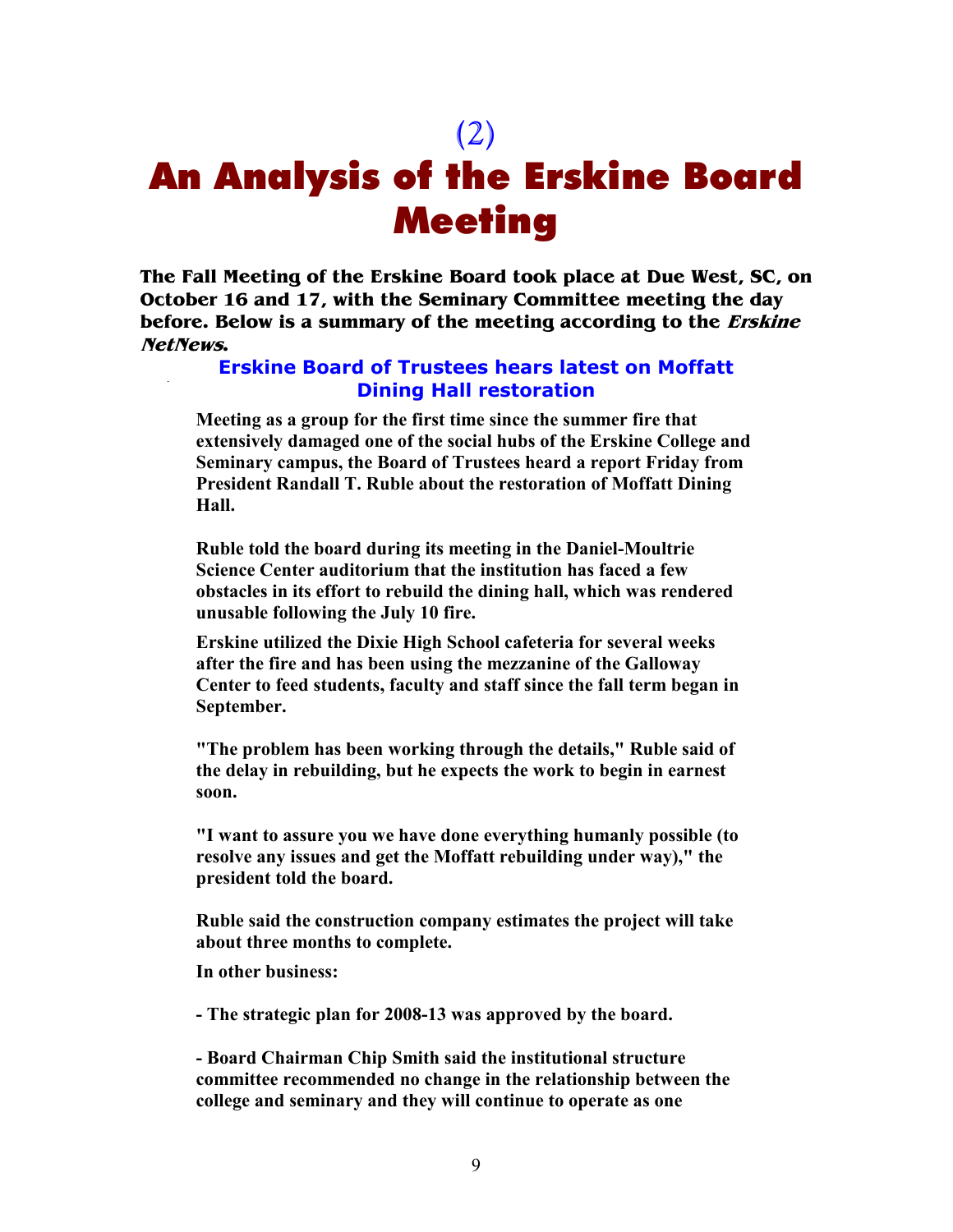(2)

## An Analysis of the Erskine Board Meeting

**The Fall Meeting of the Erskine Board took place at Due West, SC, on October 16 and 17, with the Seminary Committee meeting the day before. Below is a summary of the meeting according to the Erskine NetNews.** 

#### **Erskine Board of Trustees hears latest on Moffatt Dining Hall restoration**

**Meeting as a group for the first time since the summer fire that extensively damaged one of the social hubs of the Erskine College and Seminary campus, the Board of Trustees heard a report Friday from President Randall T. Ruble about the restoration of Moffatt Dining Hall.** 

**Ruble told the board during its meeting in the Daniel-Moultrie Science Center auditorium that the institution has faced a few obstacles in its effort to rebuild the dining hall, which was rendered unusable following the July 10 fire.** 

**Erskine utilized the Dixie High School cafeteria for several weeks after the fire and has been using the mezzanine of the Galloway Center to feed students, faculty and staff since the fall term began in September.** 

**"The problem has been working through the details," Ruble said of the delay in rebuilding, but he expects the work to begin in earnest soon.** 

**"I want to assure you we have done everything humanly possible (to resolve any issues and get the Moffatt rebuilding under way)," the president told the board.** 

**Ruble said the construction company estimates the project will take about three months to complete.** 

**In other business:** 

**- The strategic plan for 2008-13 was approved by the board.** 

**- Board Chairman Chip Smith said the institutional structure committee recommended no change in the relationship between the college and seminary and they will continue to operate as one**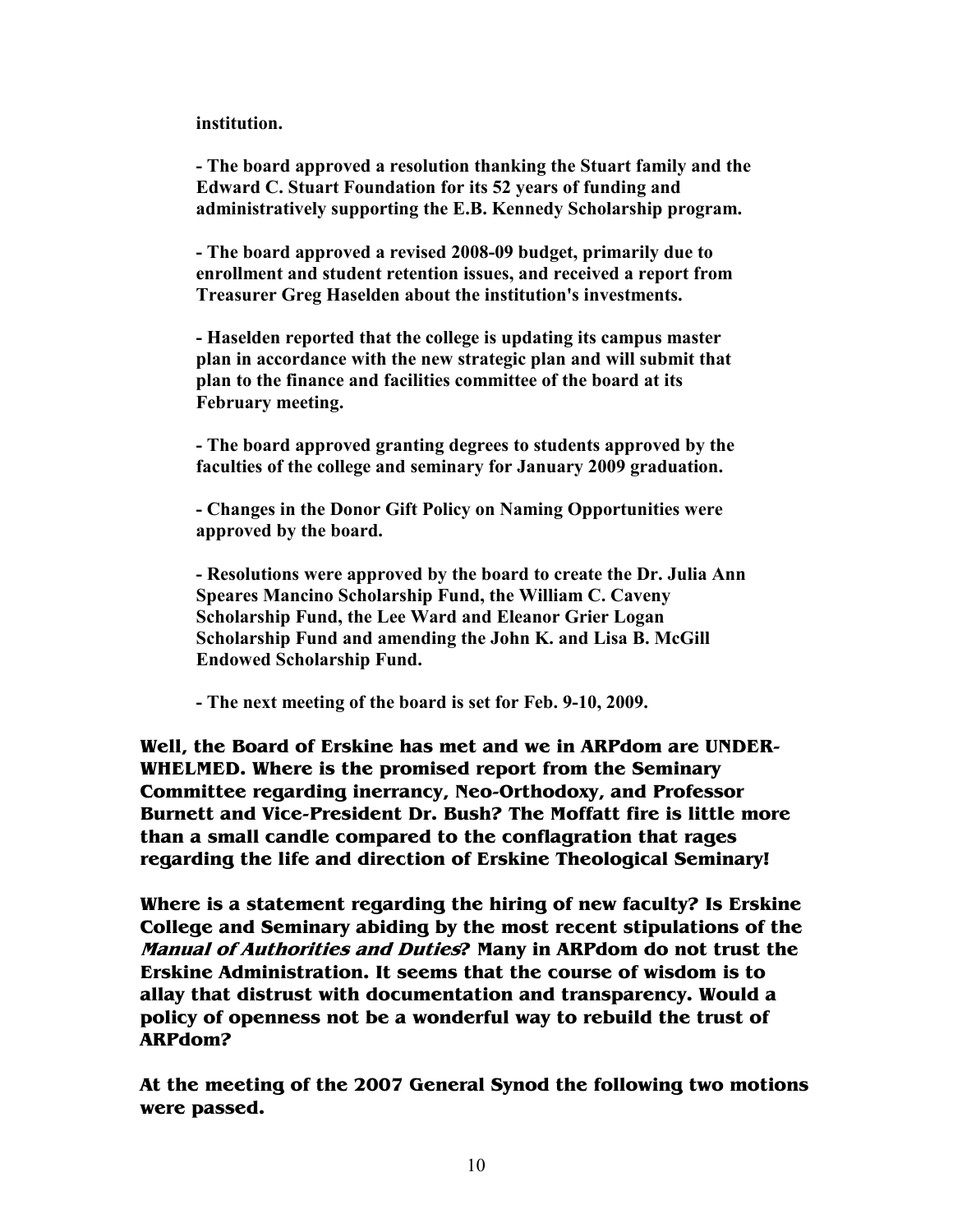**institution.** 

**- The board approved a resolution thanking the Stuart family and the Edward C. Stuart Foundation for its 52 years of funding and administratively supporting the E.B. Kennedy Scholarship program.** 

**- The board approved a revised 2008-09 budget, primarily due to enrollment and student retention issues, and received a report from Treasurer Greg Haselden about the institution's investments.** 

**- Haselden reported that the college is updating its campus master plan in accordance with the new strategic plan and will submit that plan to the finance and facilities committee of the board at its February meeting.** 

**- The board approved granting degrees to students approved by the faculties of the college and seminary for January 2009 graduation.** 

**- Changes in the Donor Gift Policy on 9aming Opportunities were approved by the board.** 

**- Resolutions were approved by the board to create the Dr. Julia Ann Speares Mancino Scholarship Fund, the William C. Caveny Scholarship Fund, the Lee Ward and Eleanor Grier Logan Scholarship Fund and amending the John K. and Lisa B. McGill Endowed Scholarship Fund.** 

**- The next meeting of the board is set for Feb. 9-10, 2009.** 

**Well, the Board of Erskine has met and we in ARPdom are UNDER-WHELMED. Where is the promised report from the Seminary Committee regarding inerrancy, Neo-Orthodoxy, and Professor Burnett and Vice-President Dr. Bush? The Moffatt fire is little more than a small candle compared to the conflagration that rages regarding the life and direction of Erskine Theological Seminary!** 

**Where is a statement regarding the hiring of new faculty? Is Erskine College and Seminary abiding by the most recent stipulations of the Manual of Authorities and Duties? Many in ARPdom do not trust the Erskine Administration. It seems that the course of wisdom is to allay that distrust with documentation and transparency. Would a policy of openness not be a wonderful way to rebuild the trust of ARPdom?** 

**At the meeting of the 2007 General Synod the following two motions were passed.**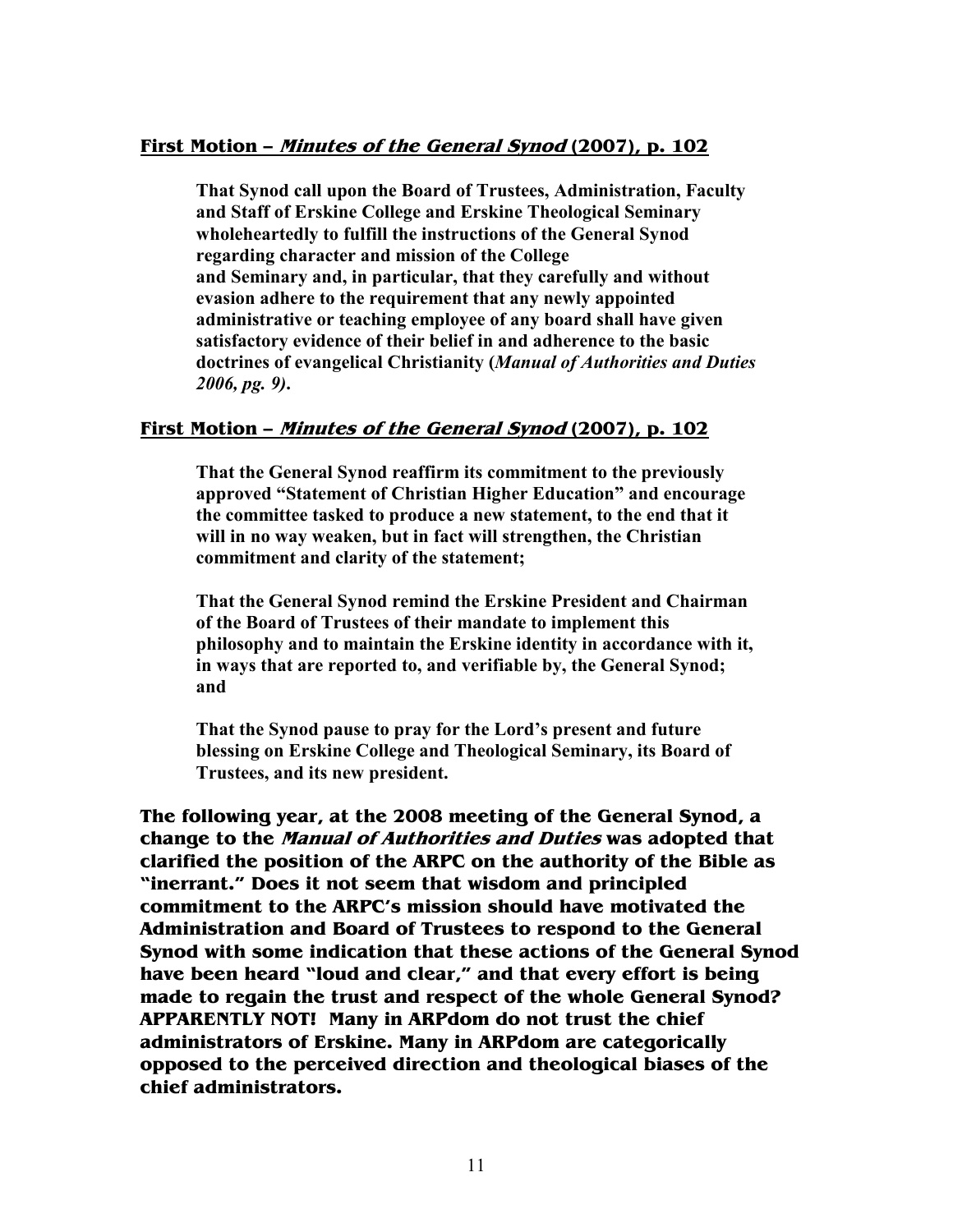#### **First Motion – Minutes of the General Synod (2007), p. 102**

**That Synod call upon the Board of Trustees, Administration, Faculty and Staff of Erskine College and Erskine Theological Seminary wholeheartedly to fulfill the instructions of the General Synod regarding character and mission of the College and Seminary and, in particular, that they carefully and without evasion adhere to the requirement that any newly appointed administrative or teaching employee of any board shall have given satisfactory evidence of their belief in and adherence to the basic doctrines of evangelical Christianity (***Manual of Authorities and Duties 2006, pg. 9)***.** 

#### **First Motion – Minutes of the General Synod (2007), p. 102**

**That the General Synod reaffirm its commitment to the previously approved "Statement of Christian Higher Education" and encourage the committee tasked to produce a new statement, to the end that it will in no way weaken, but in fact will strengthen, the Christian commitment and clarity of the statement;** 

**That the General Synod remind the Erskine President and Chairman of the Board of Trustees of their mandate to implement this philosophy and to maintain the Erskine identity in accordance with it, in ways that are reported to, and verifiable by, the General Synod; and** 

**That the Synod pause to pray for the Lord's present and future blessing on Erskine College and Theological Seminary, its Board of Trustees, and its new president.** 

**The following year, at the 2008 meeting of the General Synod, a change to the Manual of Authorities and Duties was adopted that clarified the position of the ARPC on the authority of the Bible as "inerrant." Does it not seem that wisdom and principled commitment to the ARPC's mission should have motivated the Administration and Board of Trustees to respond to the General Synod with some indication that these actions of the General Synod have been heard "loud and clear," and that every effort is being made to regain the trust and respect of the whole General Synod? APPARENTLY NOT! Many in ARPdom do not trust the chief administrators of Erskine. Many in ARPdom are categorically opposed to the perceived direction and theological biases of the chief administrators.**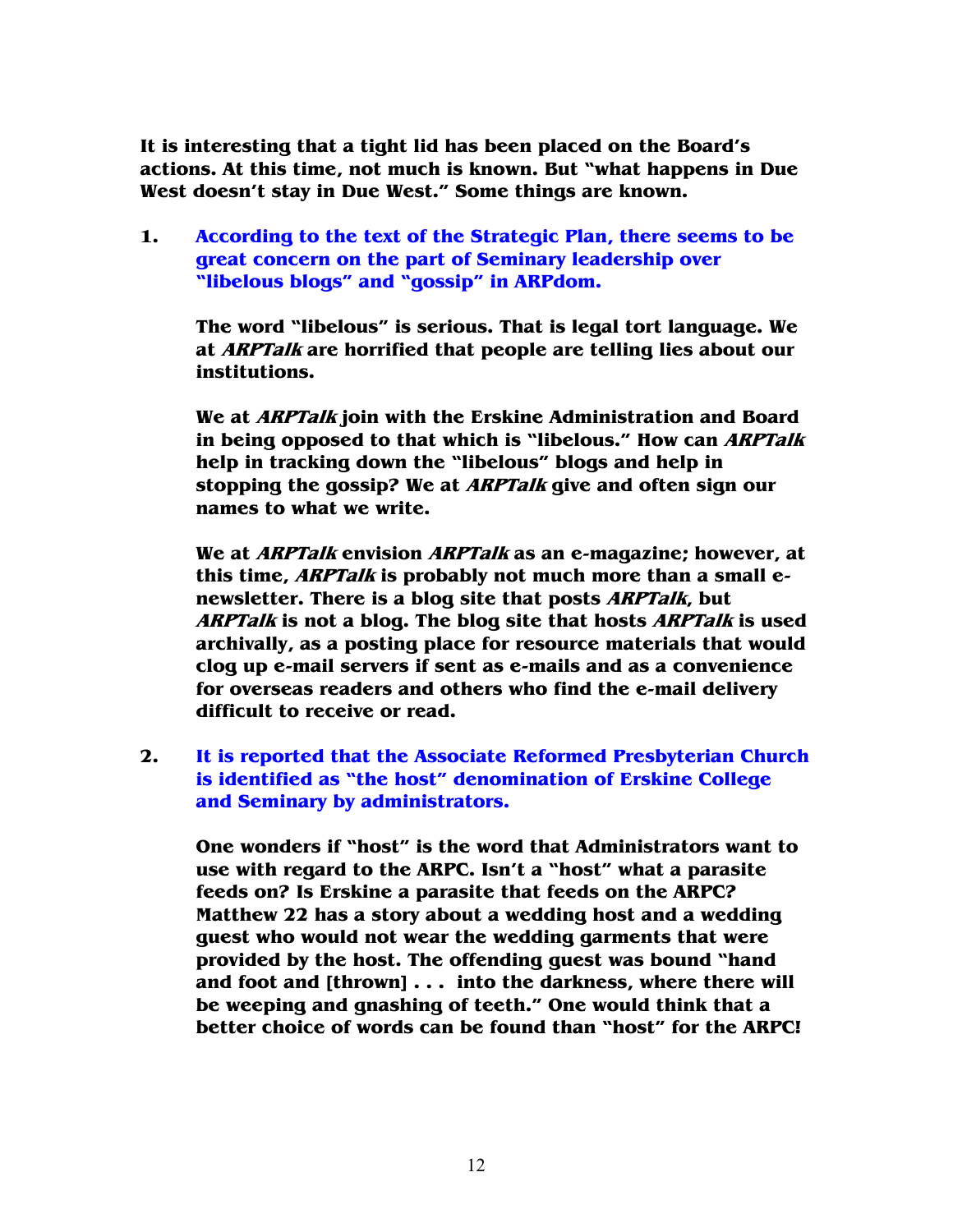**It is interesting that a tight lid has been placed on the Board's actions. At this time, not much is known. But "what happens in Due West doesn't stay in Due West." Some things are known.** 

**1. According to the text of the Strategic Plan, there seems to be great concern on the part of Seminary leadership over "libelous blogs" and "gossip" in ARPdom.**

**The word "libelous" is serious. That is legal tort language. We at ARPTalk are horrified that people are telling lies about our institutions.** 

**We at ARPTalk join with the Erskine Administration and Board in being opposed to that which is "libelous." How can ARPTalk help in tracking down the "libelous" blogs and help in stopping the gossip? We at ARPTalk give and often sign our names to what we write.** 

**We at ARPTalk envision ARPTalk as an e-magazine; however, at this time, ARPTalk is probably not much more than a small enewsletter. There is a blog site that posts ARPTalk, but ARPTalk is not a blog. The blog site that hosts ARPTalk is used archivally, as a posting place for resource materials that would clog up e-mail servers if sent as e-mails and as a convenience for overseas readers and others who find the e-mail delivery difficult to receive or read.** 

**2. It is reported that the Associate Reformed Presbyterian Church is identified as "the host" denomination of Erskine College and Seminary by administrators.**

**One wonders if "host" is the word that Administrators want to use with regard to the ARPC. Isn't a "host" what a parasite feeds on? Is Erskine a parasite that feeds on the ARPC? Matthew 22 has a story about a wedding host and a wedding guest who would not wear the wedding garments that were provided by the host. The offending guest was bound "hand and foot and [thrown] . . . into the darkness, where there will be weeping and gnashing of teeth." One would think that a better choice of words can be found than "host" for the ARPC!**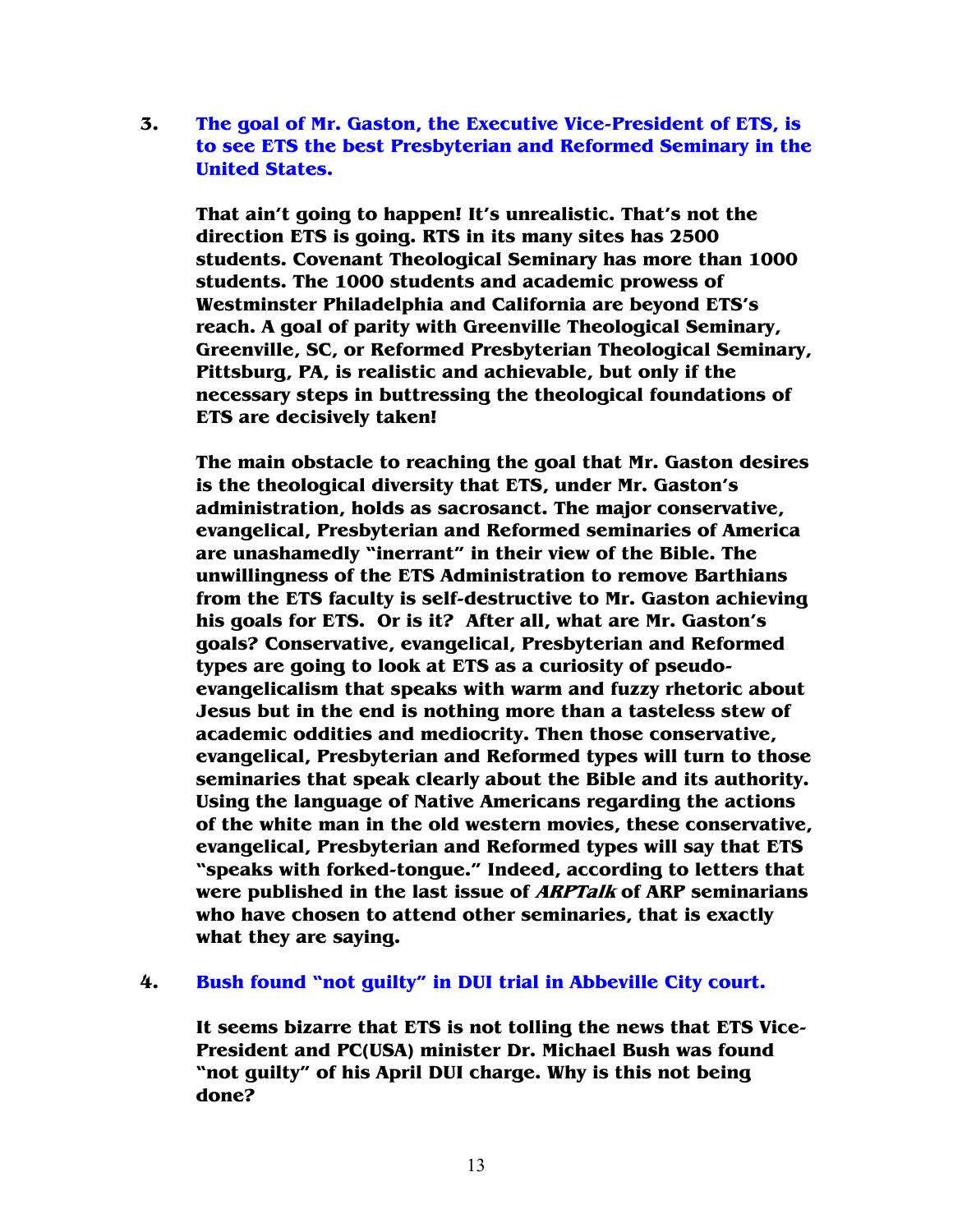**3. The goal of Mr. Gaston, the Executive Vice-President of ETS, is to see ETS the best Presbyterian and Reformed Seminary in the United States.**

**That ain't going to happen! It's unrealistic. That's not the direction ETS is going. RTS in its many sites has 2500 students. Covenant Theological Seminary has more than 1000 students. The 1000 students and academic prowess of Westminster Philadelphia and California are beyond ETS's reach. A goal of parity with Greenville Theological Seminary, Greenville, SC, or Reformed Presbyterian Theological Seminary, Pittsburg, PA, is realistic and achievable, but only if the necessary steps in buttressing the theological foundations of ETS are decisively taken!** 

**The main obstacle to reaching the goal that Mr. Gaston desires is the theological diversity that ETS, under Mr. Gaston's administration, holds as sacrosanct. The major conservative, evangelical, Presbyterian and Reformed seminaries of America are unashamedly "inerrant" in their view of the Bible. The unwillingness of the ETS Administration to remove Barthians from the ETS faculty is self-destructive to Mr. Gaston achieving his goals for ETS. Or is it? After all, what are Mr. Gaston's goals? Conservative, evangelical, Presbyterian and Reformed types are going to look at ETS as a curiosity of pseudoevangelicalism that speaks with warm and fuzzy rhetoric about Jesus but in the end is nothing more than a tasteless stew of academic oddities and mediocrity. Then those conservative, evangelical, Presbyterian and Reformed types will turn to those seminaries that speak clearly about the Bible and its authority. Using the language of Native Americans regarding the actions of the white man in the old western movies, these conservative, evangelical, Presbyterian and Reformed types will say that ETS "speaks with forked-tongue." Indeed, according to letters that were published in the last issue of ARPTalk of ARP seminarians who have chosen to attend other seminaries, that is exactly what they are saying.** 

#### **4. Bush found "not guilty" in DUI trial in Abbeville City court.**

**It seems bizarre that ETS is not tolling the news that ETS Vice-President and PC(USA) minister Dr. Michael Bush was found "not guilty" of his April DUI charge. Why is this not being done?**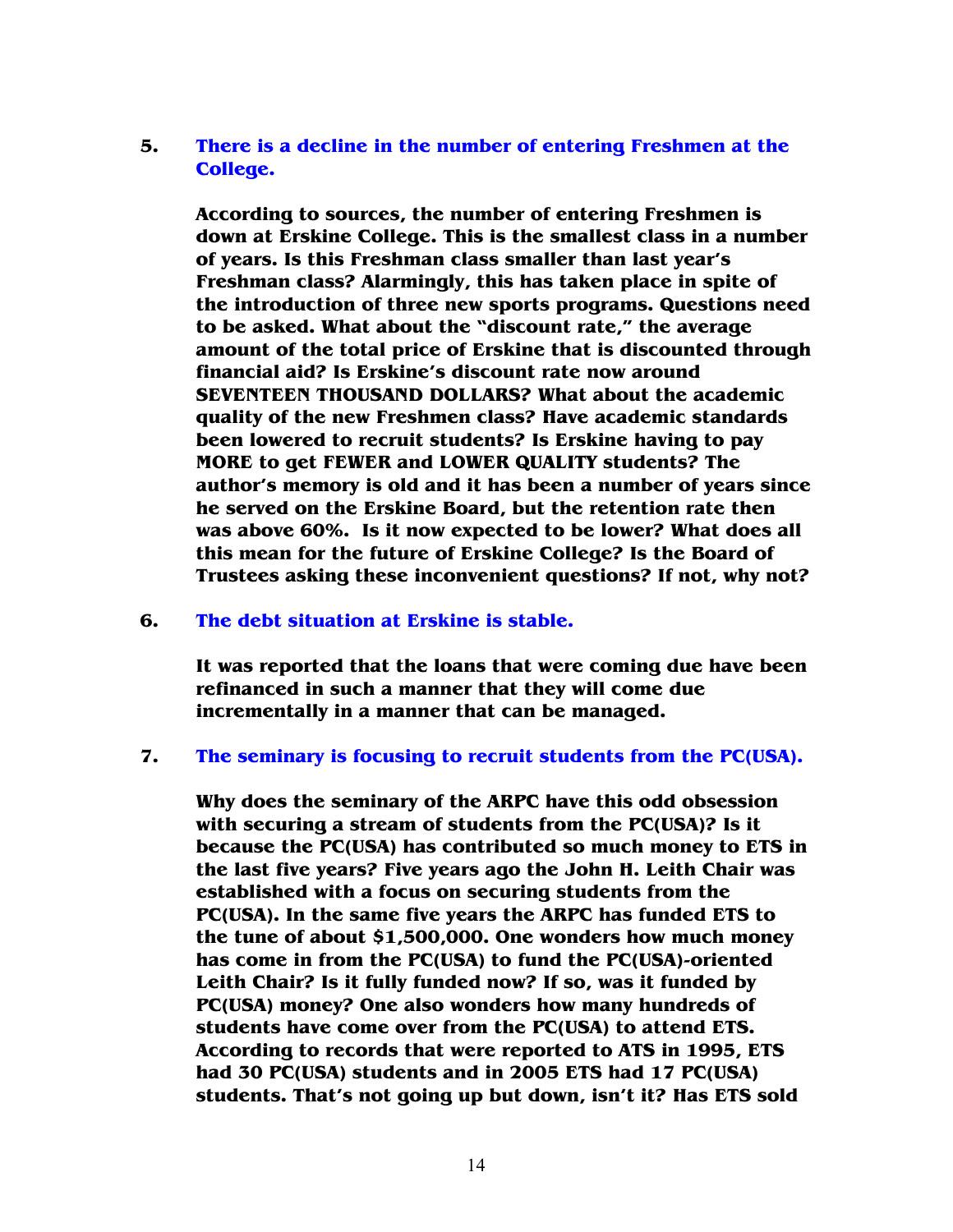#### **5. There is a decline in the number of entering Freshmen at the College.**

**According to sources, the number of entering Freshmen is down at Erskine College. This is the smallest class in a number of years. Is this Freshman class smaller than last year's Freshman class? Alarmingly, this has taken place in spite of the introduction of three new sports programs. Questions need to be asked. What about the "discount rate," the average amount of the total price of Erskine that is discounted through financial aid? Is Erskine's discount rate now around SEVENTEEN THOUSAND DOLLARS? What about the academic quality of the new Freshmen class? Have academic standards been lowered to recruit students? Is Erskine having to pay MORE to get FEWER and LOWER QUALITY students? The author's memory is old and it has been a number of years since he served on the Erskine Board, but the retention rate then was above 60%. Is it now expected to be lower? What does all this mean for the future of Erskine College? Is the Board of Trustees asking these inconvenient questions? If not, why not?** 

#### **6. The debt situation at Erskine is stable.**

**It was reported that the loans that were coming due have been refinanced in such a manner that they will come due incrementally in a manner that can be managed.** 

#### **7. The seminary is focusing to recruit students from the PC(USA).**

**Why does the seminary of the ARPC have this odd obsession with securing a stream of students from the PC(USA)? Is it because the PC(USA) has contributed so much money to ETS in the last five years? Five years ago the John H. Leith Chair was established with a focus on securing students from the PC(USA). In the same five years the ARPC has funded ETS to the tune of about \$1,500,000. One wonders how much money has come in from the PC(USA) to fund the PC(USA)-oriented Leith Chair? Is it fully funded now? If so, was it funded by PC(USA) money? One also wonders how many hundreds of students have come over from the PC(USA) to attend ETS. According to records that were reported to ATS in 1995, ETS had 30 PC(USA) students and in 2005 ETS had 17 PC(USA) students. That's not going up but down, isn't it? Has ETS sold**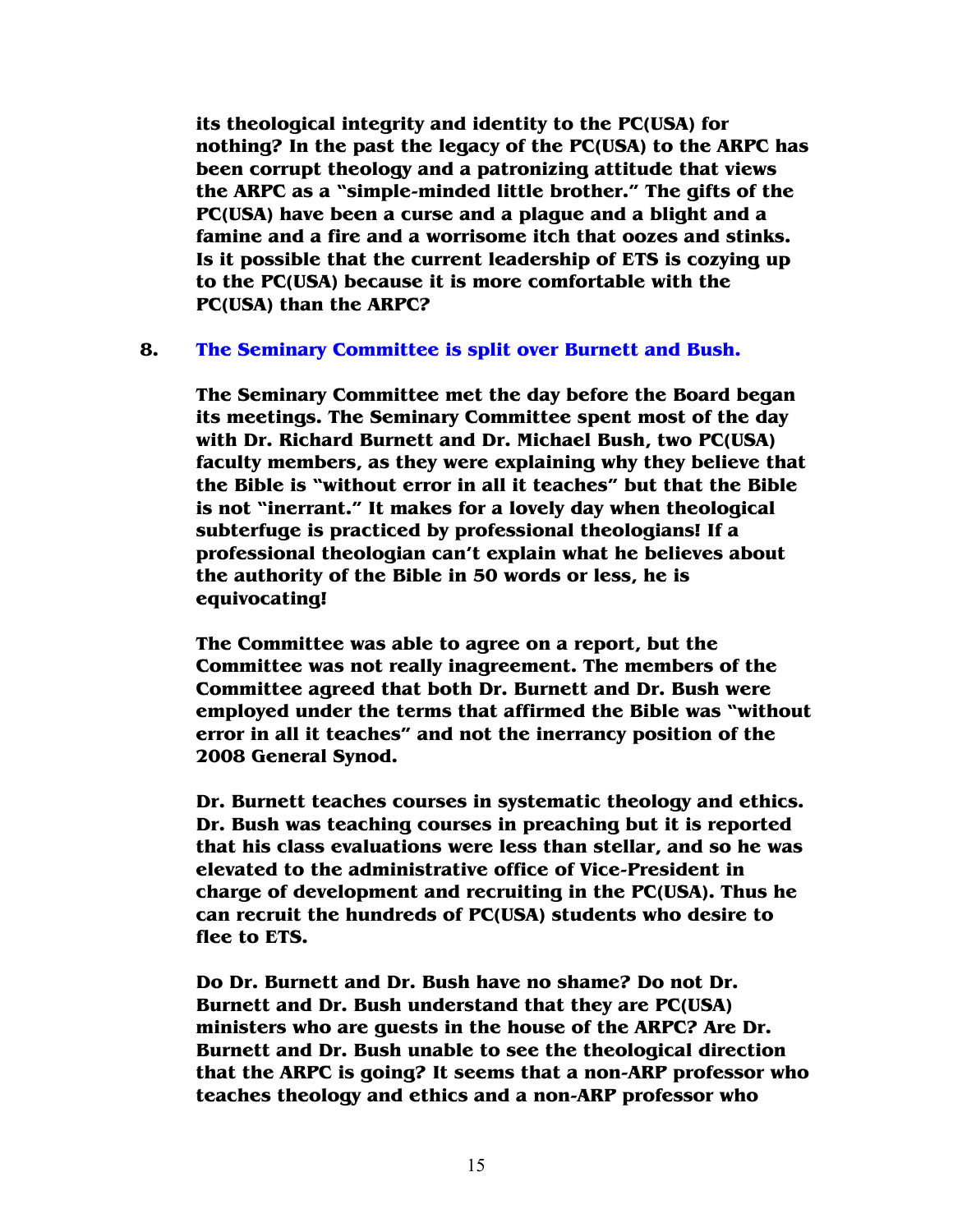**its theological integrity and identity to the PC(USA) for nothing? In the past the legacy of the PC(USA) to the ARPC has been corrupt theology and a patronizing attitude that views the ARPC as a "simple-minded little brother." The gifts of the PC(USA) have been a curse and a plague and a blight and a famine and a fire and a worrisome itch that oozes and stinks. Is it possible that the current leadership of ETS is cozying up to the PC(USA) because it is more comfortable with the PC(USA) than the ARPC?** 

#### **8. The Seminary Committee is split over Burnett and Bush.**

**The Seminary Committee met the day before the Board began its meetings. The Seminary Committee spent most of the day with Dr. Richard Burnett and Dr. Michael Bush, two PC(USA) faculty members, as they were explaining why they believe that the Bible is "without error in all it teaches" but that the Bible is not "inerrant." It makes for a lovely day when theological subterfuge is practiced by professional theologians! If a professional theologian can't explain what he believes about the authority of the Bible in 50 words or less, he is equivocating!** 

**The Committee was able to agree on a report, but the Committee was not really inagreement. The members of the Committee agreed that both Dr. Burnett and Dr. Bush were employed under the terms that affirmed the Bible was "without error in all it teaches" and not the inerrancy position of the 2008 General Synod.** 

**Dr. Burnett teaches courses in systematic theology and ethics. Dr. Bush was teaching courses in preaching but it is reported that his class evaluations were less than stellar, and so he was elevated to the administrative office of Vice-President in charge of development and recruiting in the PC(USA). Thus he can recruit the hundreds of PC(USA) students who desire to flee to ETS.** 

**Do Dr. Burnett and Dr. Bush have no shame? Do not Dr. Burnett and Dr. Bush understand that they are PC(USA) ministers who are guests in the house of the ARPC? Are Dr. Burnett and Dr. Bush unable to see the theological direction that the ARPC is going? It seems that a non-ARP professor who teaches theology and ethics and a non-ARP professor who**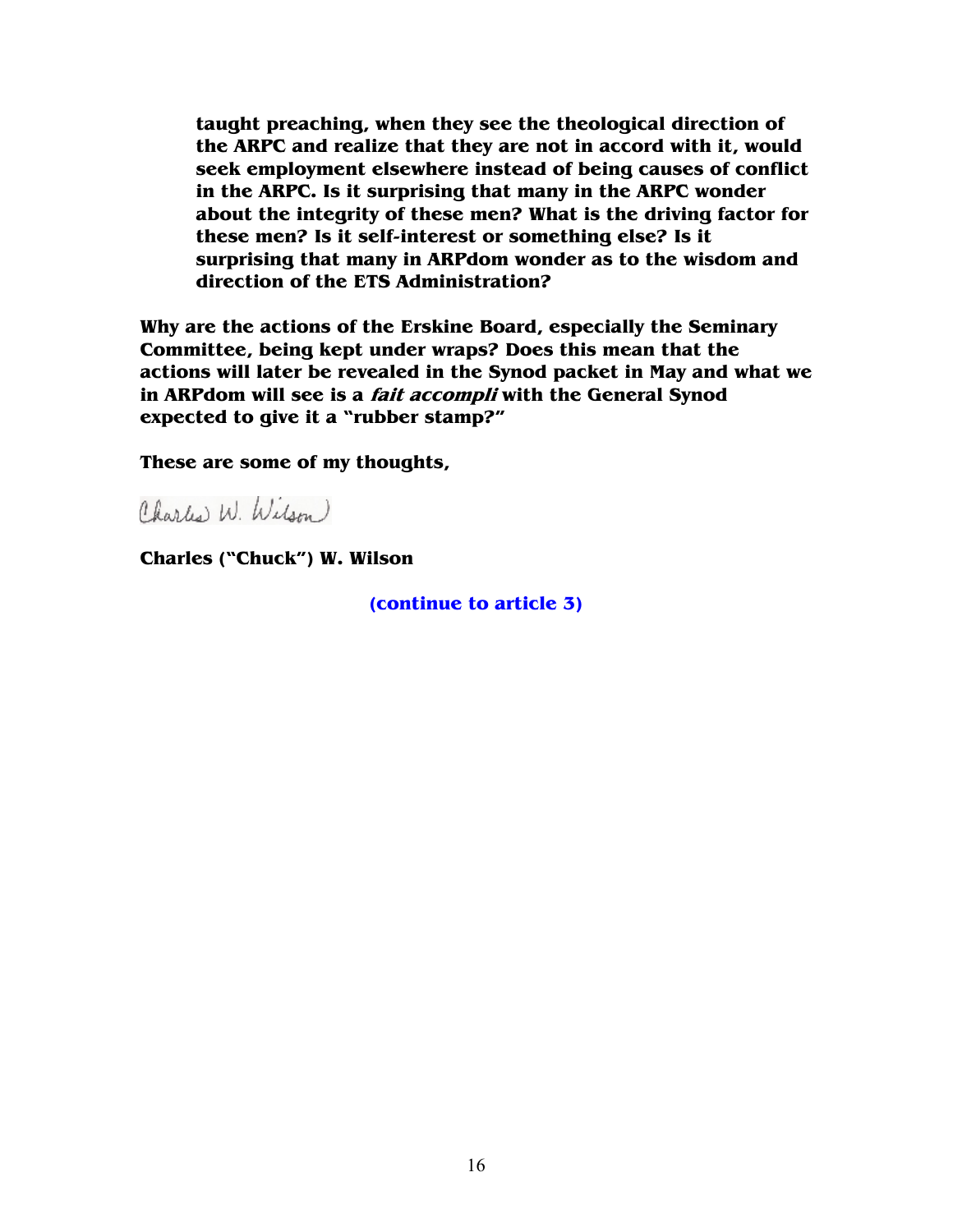**taught preaching, when they see the theological direction of the ARPC and realize that they are not in accord with it, would seek employment elsewhere instead of being causes of conflict in the ARPC. Is it surprising that many in the ARPC wonder about the integrity of these men? What is the driving factor for these men? Is it self-interest or something else? Is it surprising that many in ARPdom wonder as to the wisdom and direction of the ETS Administration?** 

**Why are the actions of the Erskine Board, especially the Seminary Committee, being kept under wraps? Does this mean that the actions will later be revealed in the Synod packet in May and what we in ARPdom will see is a fait accompli with the General Synod expected to give it a "rubber stamp?"** 

**These are some of my thoughts,** 

Charles W. Wilson)

**Charles ("Chuck") W. Wilson** 

**(continue to article 3)**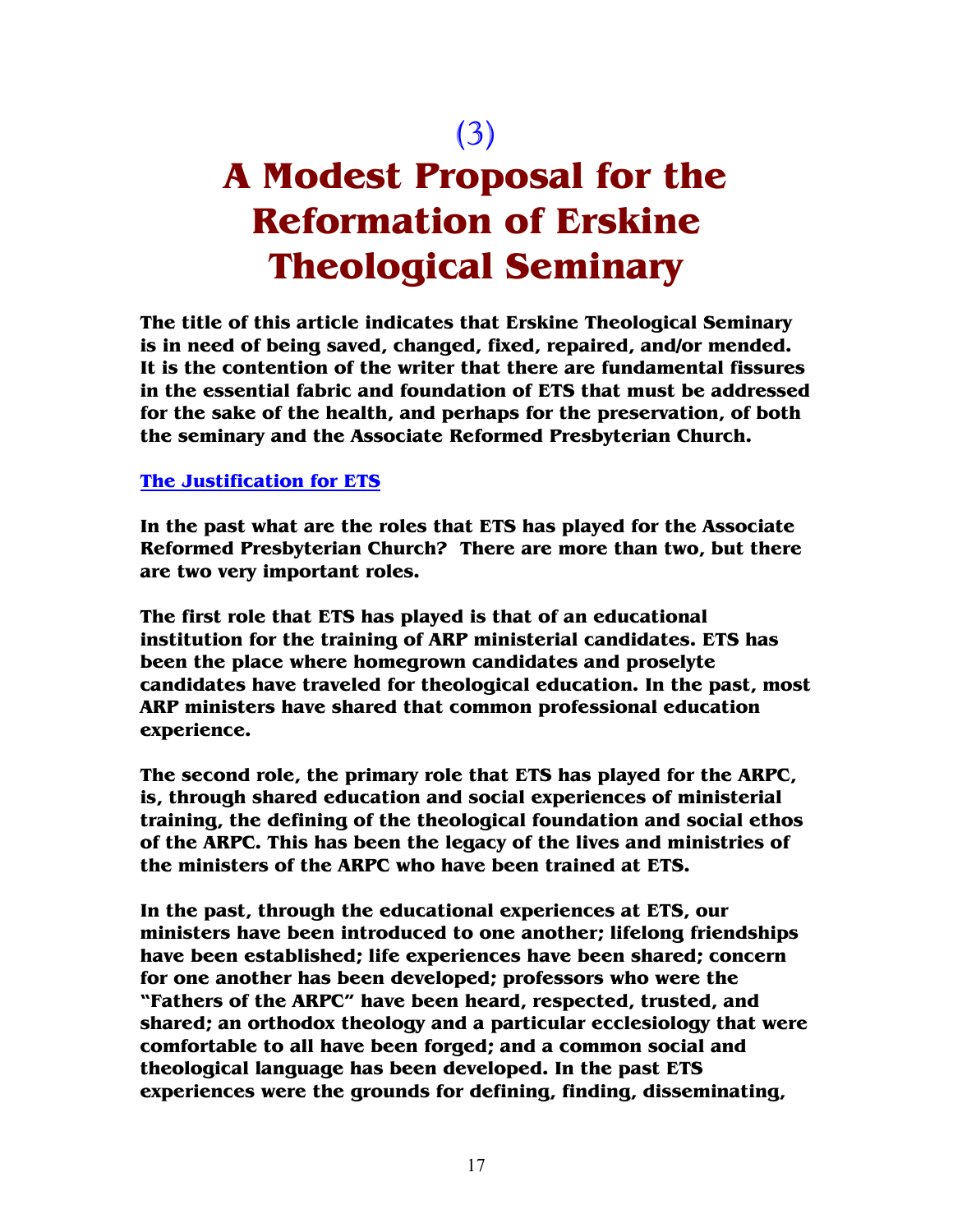(3)

### **A Modest Proposal for the Reformation of Erskine Theological Seminary**

**The title of this article indicates that Erskine Theological Seminary is in need of being saved, changed, fixed, repaired, and/or mended. It is the contention of the writer that there are fundamental fissures in the essential fabric and foundation of ETS that must be addressed for the sake of the health, and perhaps for the preservation, of both the seminary and the Associate Reformed Presbyterian Church.** 

#### **The Justification for ETS**

**In the past what are the roles that ETS has played for the Associate Reformed Presbyterian Church? There are more than two, but there are two very important roles.** 

**The first role that ETS has played is that of an educational institution for the training of ARP ministerial candidates. ETS has been the place where homegrown candidates and proselyte candidates have traveled for theological education. In the past, most ARP ministers have shared that common professional education experience.** 

**The second role, the primary role that ETS has played for the ARPC, is, through shared education and social experiences of ministerial training, the defining of the theological foundation and social ethos of the ARPC. This has been the legacy of the lives and ministries of the ministers of the ARPC who have been trained at ETS.** 

**In the past, through the educational experiences at ETS, our ministers have been introduced to one another; lifelong friendships have been established; life experiences have been shared; concern for one another has been developed; professors who were the "Fathers of the ARPC" have been heard, respected, trusted, and shared; an orthodox theology and a particular ecclesiology that were comfortable to all have been forged; and a common social and theological language has been developed. In the past ETS experiences were the grounds for defining, finding, disseminating,**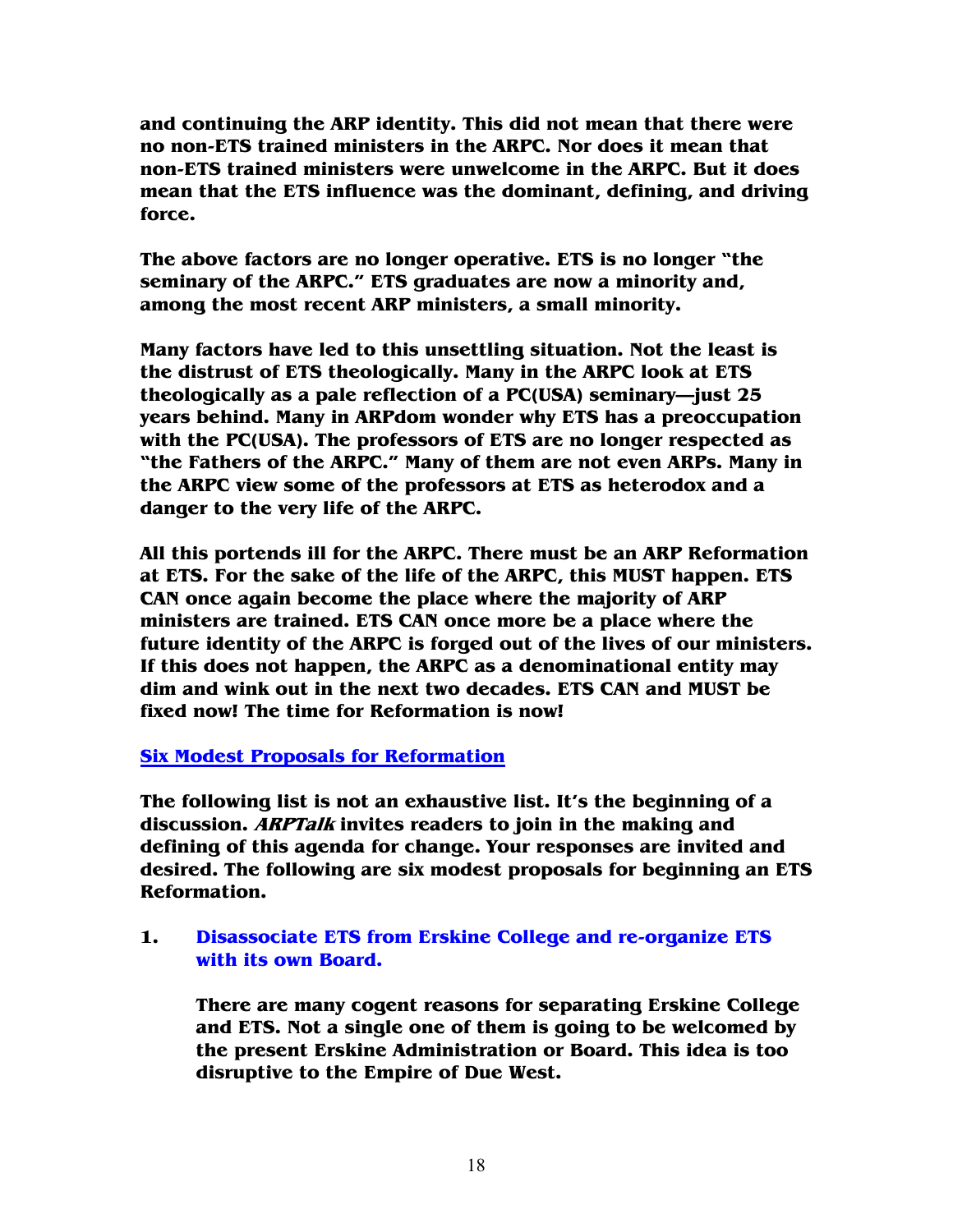**and continuing the ARP identity. This did not mean that there were no non-ETS trained ministers in the ARPC. Nor does it mean that non-ETS trained ministers were unwelcome in the ARPC. But it does mean that the ETS influence was the dominant, defining, and driving force.** 

**The above factors are no longer operative. ETS is no longer "the seminary of the ARPC." ETS graduates are now a minority and, among the most recent ARP ministers, a small minority.** 

**Many factors have led to this unsettling situation. Not the least is the distrust of ETS theologically. Many in the ARPC look at ETS theologically as a pale reflection of a PC(USA) seminary—just 25 years behind. Many in ARPdom wonder why ETS has a preoccupation with the PC(USA). The professors of ETS are no longer respected as "the Fathers of the ARPC." Many of them are not even ARPs. Many in the ARPC view some of the professors at ETS as heterodox and a danger to the very life of the ARPC.** 

**All this portends ill for the ARPC. There must be an ARP Reformation at ETS. For the sake of the life of the ARPC, this MUST happen. ETS CAN once again become the place where the majority of ARP ministers are trained. ETS CAN once more be a place where the future identity of the ARPC is forged out of the lives of our ministers. If this does not happen, the ARPC as a denominational entity may dim and wink out in the next two decades. ETS CAN and MUST be fixed now! The time for Reformation is now!** 

#### **Six Modest Proposals for Reformation**

**The following list is not an exhaustive list. It's the beginning of a discussion. ARPTalk invites readers to join in the making and defining of this agenda for change. Your responses are invited and desired. The following are six modest proposals for beginning an ETS Reformation.** 

**1. Disassociate ETS from Erskine College and re-organize ETS with its own Board.**

**There are many cogent reasons for separating Erskine College and ETS. Not a single one of them is going to be welcomed by the present Erskine Administration or Board. This idea is too disruptive to the Empire of Due West.**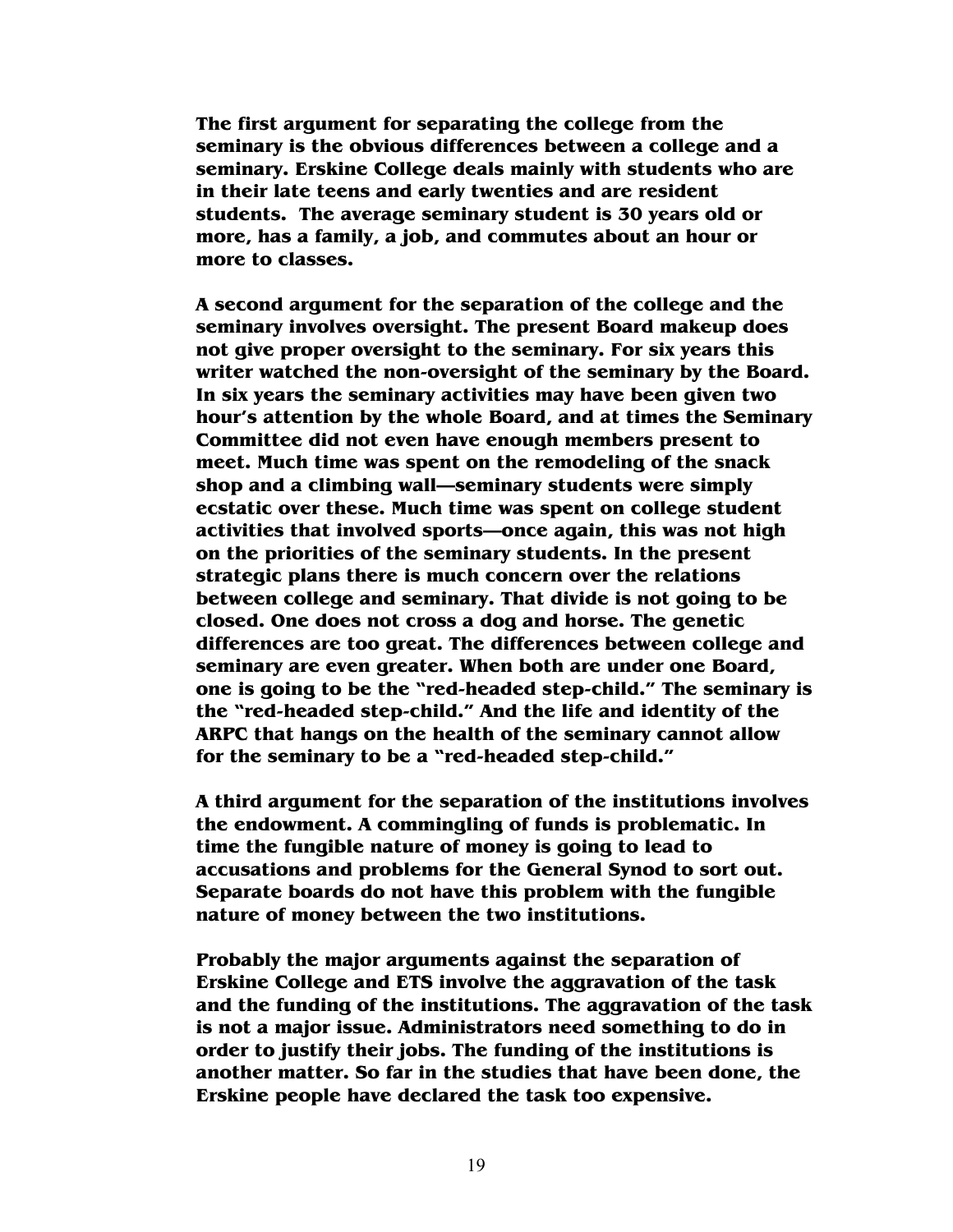**The first argument for separating the college from the seminary is the obvious differences between a college and a seminary. Erskine College deals mainly with students who are in their late teens and early twenties and are resident students. The average seminary student is 30 years old or more, has a family, a job, and commutes about an hour or more to classes.** 

**A second argument for the separation of the college and the seminary involves oversight. The present Board makeup does not give proper oversight to the seminary. For six years this writer watched the non-oversight of the seminary by the Board. In six years the seminary activities may have been given two hour's attention by the whole Board, and at times the Seminary Committee did not even have enough members present to meet. Much time was spent on the remodeling of the snack shop and a climbing wall—seminary students were simply ecstatic over these. Much time was spent on college student activities that involved sports—once again, this was not high on the priorities of the seminary students. In the present strategic plans there is much concern over the relations between college and seminary. That divide is not going to be closed. One does not cross a dog and horse. The genetic differences are too great. The differences between college and seminary are even greater. When both are under one Board, one is going to be the "red-headed step-child." The seminary is the "red-headed step-child." And the life and identity of the ARPC that hangs on the health of the seminary cannot allow for the seminary to be a "red-headed step-child."** 

**A third argument for the separation of the institutions involves the endowment. A commingling of funds is problematic. In time the fungible nature of money is going to lead to accusations and problems for the General Synod to sort out. Separate boards do not have this problem with the fungible nature of money between the two institutions.** 

**Probably the major arguments against the separation of Erskine College and ETS involve the aggravation of the task and the funding of the institutions. The aggravation of the task is not a major issue. Administrators need something to do in order to justify their jobs. The funding of the institutions is another matter. So far in the studies that have been done, the Erskine people have declared the task too expensive.**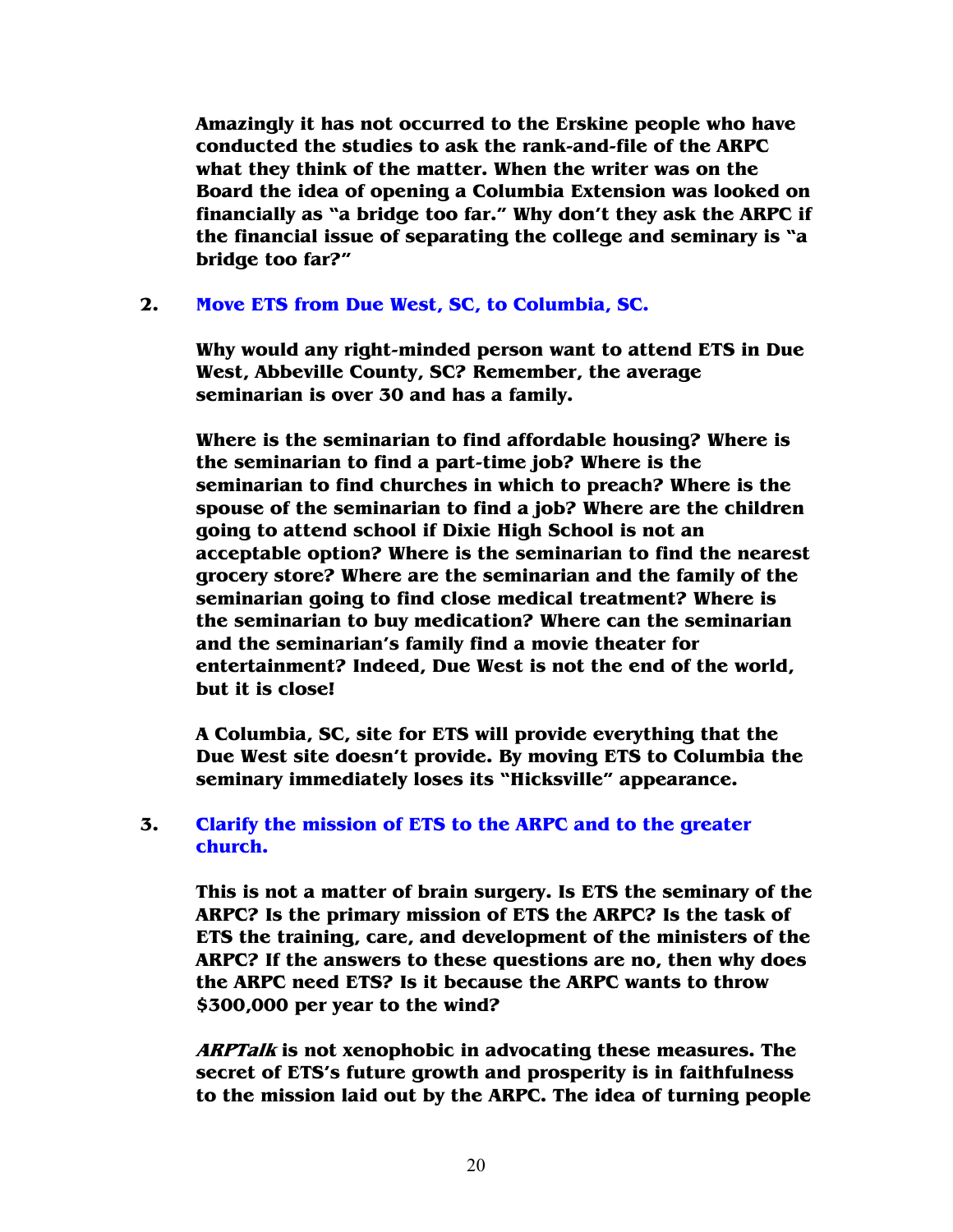**Amazingly it has not occurred to the Erskine people who have conducted the studies to ask the rank-and-file of the ARPC what they think of the matter. When the writer was on the Board the idea of opening a Columbia Extension was looked on financially as "a bridge too far." Why don't they ask the ARPC if the financial issue of separating the college and seminary is "a bridge too far?"** 

#### **2. Move ETS from Due West, SC, to Columbia, SC.**

**Why would any right-minded person want to attend ETS in Due West, Abbeville County, SC? Remember, the average seminarian is over 30 and has a family.** 

**Where is the seminarian to find affordable housing? Where is the seminarian to find a part-time job? Where is the seminarian to find churches in which to preach? Where is the spouse of the seminarian to find a job? Where are the children going to attend school if Dixie High School is not an acceptable option? Where is the seminarian to find the nearest grocery store? Where are the seminarian and the family of the seminarian going to find close medical treatment? Where is the seminarian to buy medication? Where can the seminarian and the seminarian's family find a movie theater for entertainment? Indeed, Due West is not the end of the world, but it is close!** 

**A Columbia, SC, site for ETS will provide everything that the Due West site doesn't provide. By moving ETS to Columbia the seminary immediately loses its "Hicksville" appearance.** 

#### **3. Clarify the mission of ETS to the ARPC and to the greater church.**

**This is not a matter of brain surgery. Is ETS the seminary of the ARPC? Is the primary mission of ETS the ARPC? Is the task of ETS the training, care, and development of the ministers of the ARPC? If the answers to these questions are no, then why does the ARPC need ETS? Is it because the ARPC wants to throw \$300,000 per year to the wind?** 

**ARPTalk is not xenophobic in advocating these measures. The secret of ETS's future growth and prosperity is in faithfulness to the mission laid out by the ARPC. The idea of turning people**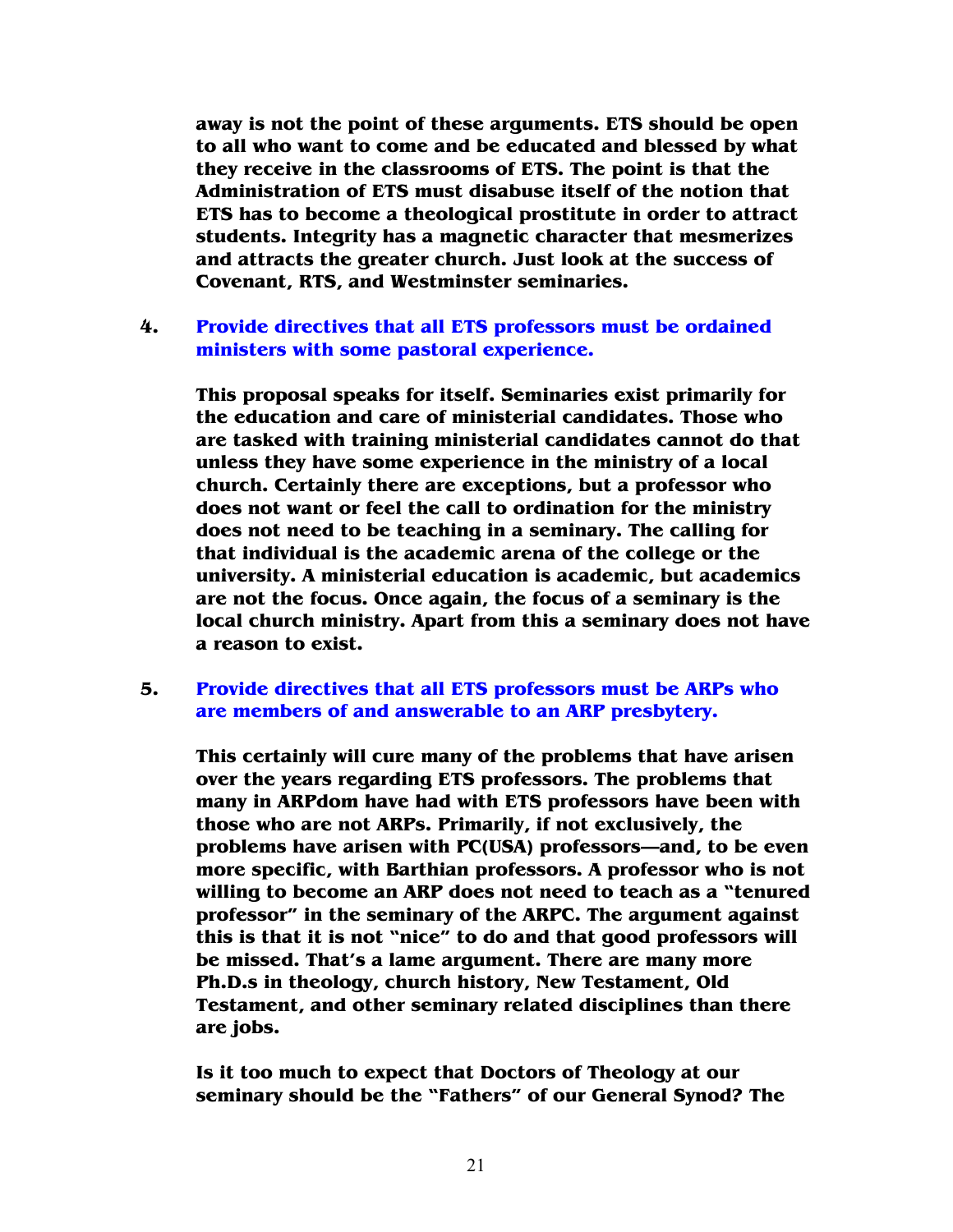**away is not the point of these arguments. ETS should be open to all who want to come and be educated and blessed by what they receive in the classrooms of ETS. The point is that the Administration of ETS must disabuse itself of the notion that ETS has to become a theological prostitute in order to attract students. Integrity has a magnetic character that mesmerizes and attracts the greater church. Just look at the success of Covenant, RTS, and Westminster seminaries.** 

#### **4. Provide directives that all ETS professors must be ordained ministers with some pastoral experience.**

**This proposal speaks for itself. Seminaries exist primarily for the education and care of ministerial candidates. Those who are tasked with training ministerial candidates cannot do that unless they have some experience in the ministry of a local church. Certainly there are exceptions, but a professor who does not want or feel the call to ordination for the ministry does not need to be teaching in a seminary. The calling for that individual is the academic arena of the college or the university. A ministerial education is academic, but academics are not the focus. Once again, the focus of a seminary is the local church ministry. Apart from this a seminary does not have a reason to exist.** 

#### **5. Provide directives that all ETS professors must be ARPs who are members of and answerable to an ARP presbytery.**

**This certainly will cure many of the problems that have arisen over the years regarding ETS professors. The problems that many in ARPdom have had with ETS professors have been with those who are not ARPs. Primarily, if not exclusively, the problems have arisen with PC(USA) professors—and, to be even more specific, with Barthian professors. A professor who is not willing to become an ARP does not need to teach as a "tenured professor" in the seminary of the ARPC. The argument against this is that it is not "nice" to do and that good professors will be missed. That's a lame argument. There are many more Ph.D.s in theology, church history, New Testament, Old Testament, and other seminary related disciplines than there are jobs.** 

**Is it too much to expect that Doctors of Theology at our seminary should be the "Fathers" of our General Synod? The**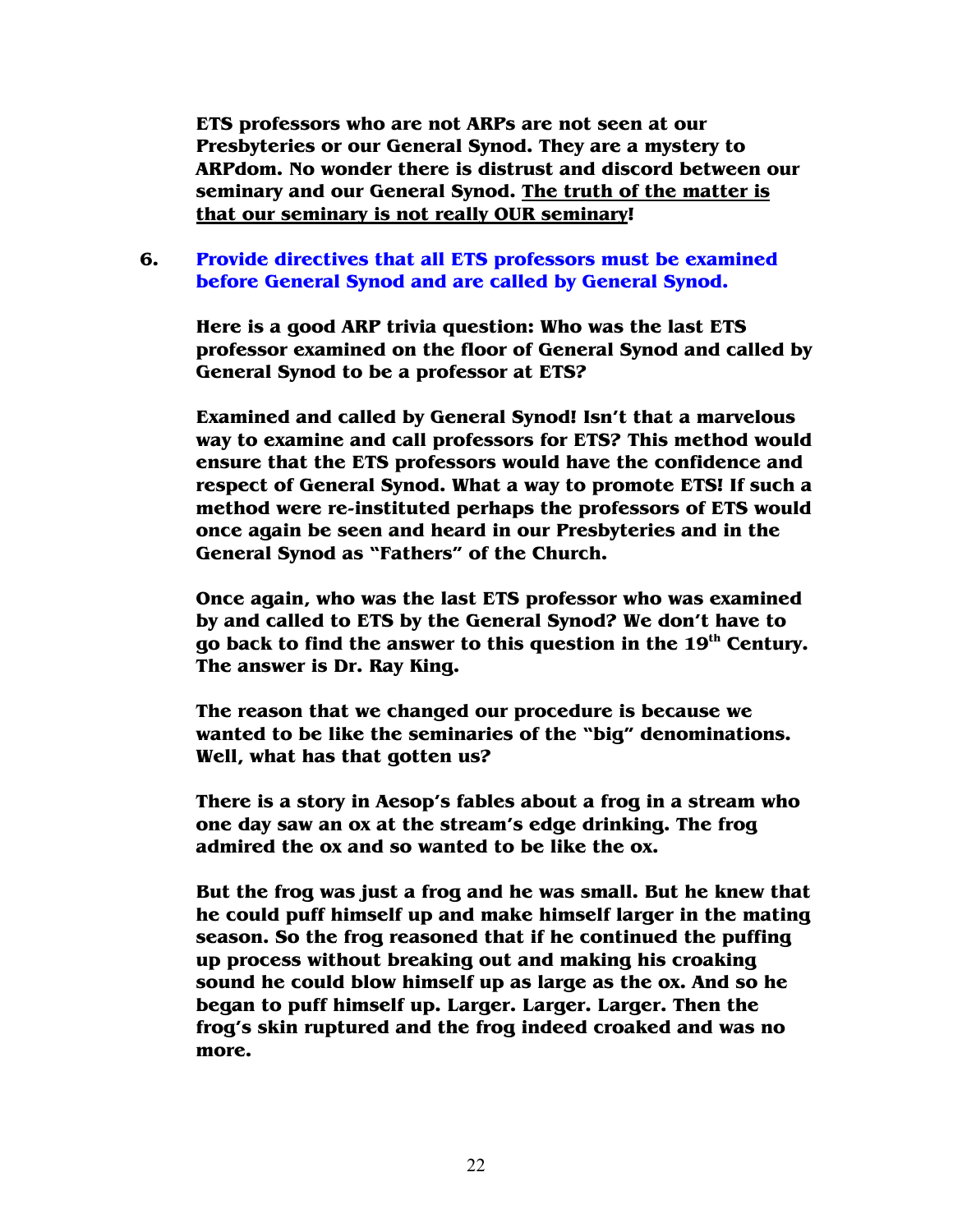**ETS professors who are not ARPs are not seen at our Presbyteries or our General Synod. They are a mystery to ARPdom. No wonder there is distrust and discord between our seminary and our General Synod. The truth of the matter is that our seminary is not really OUR seminary!** 

#### **6. Provide directives that all ETS professors must be examined before General Synod and are called by General Synod.**

**Here is a good ARP trivia question: Who was the last ETS professor examined on the floor of General Synod and called by General Synod to be a professor at ETS?** 

**Examined and called by General Synod! Isn't that a marvelous way to examine and call professors for ETS? This method would ensure that the ETS professors would have the confidence and respect of General Synod. What a way to promote ETS! If such a method were re-instituted perhaps the professors of ETS would once again be seen and heard in our Presbyteries and in the General Synod as "Fathers" of the Church.** 

**Once again, who was the last ETS professor who was examined by and called to ETS by the General Synod? We don't have to go back to find the answer to this question in the 19th Century. The answer is Dr. Ray King.** 

**The reason that we changed our procedure is because we wanted to be like the seminaries of the "big" denominations. Well, what has that gotten us?** 

**There is a story in Aesop's fables about a frog in a stream who one day saw an ox at the stream's edge drinking. The frog admired the ox and so wanted to be like the ox.** 

**But the frog was just a frog and he was small. But he knew that he could puff himself up and make himself larger in the mating season. So the frog reasoned that if he continued the puffing up process without breaking out and making his croaking sound he could blow himself up as large as the ox. And so he began to puff himself up. Larger. Larger. Larger. Then the frog's skin ruptured and the frog indeed croaked and was no more.**